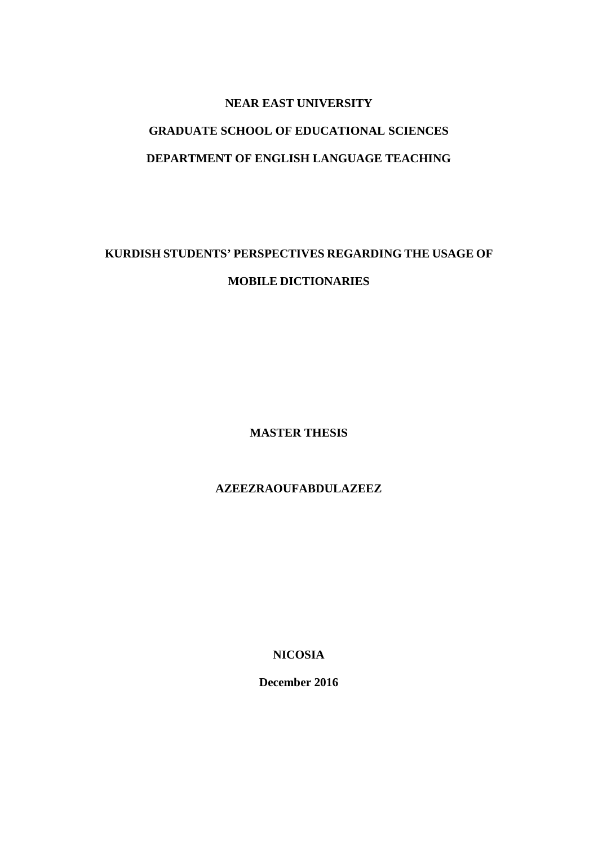## **NEAR EAST UNIVERSITY**

# **GRADUATE SCHOOL OF EDUCATIONAL SCIENCES DEPARTMENT OF ENGLISH LANGUAGE TEACHING**

# **KURDISH STUDENTS' PERSPECTIVES REGARDING THE USAGE OF MOBILE DICTIONARIES**

**MASTER THESIS**

**AZEEZRAOUFABDULAZEEZ**

**NICOSIA**

**December 2016**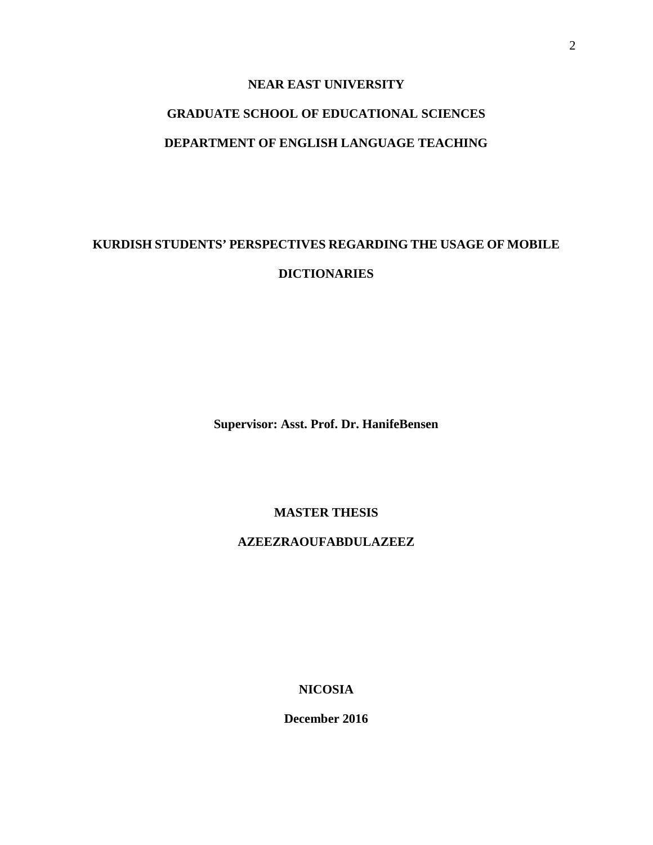## **NEAR EAST UNIVERSITY**

# **GRADUATE SCHOOL OF EDUCATIONAL SCIENCES DEPARTMENT OF ENGLISH LANGUAGE TEACHING**

# **KURDISH STUDENTS' PERSPECTIVES REGARDING THE USAGE OF MOBILE DICTIONARIES**

**Supervisor: Asst. Prof. Dr. HanifeBensen**

**MASTER THESIS**

**AZEEZRAOUFABDULAZEEZ**

**NICOSIA**

**December 2016**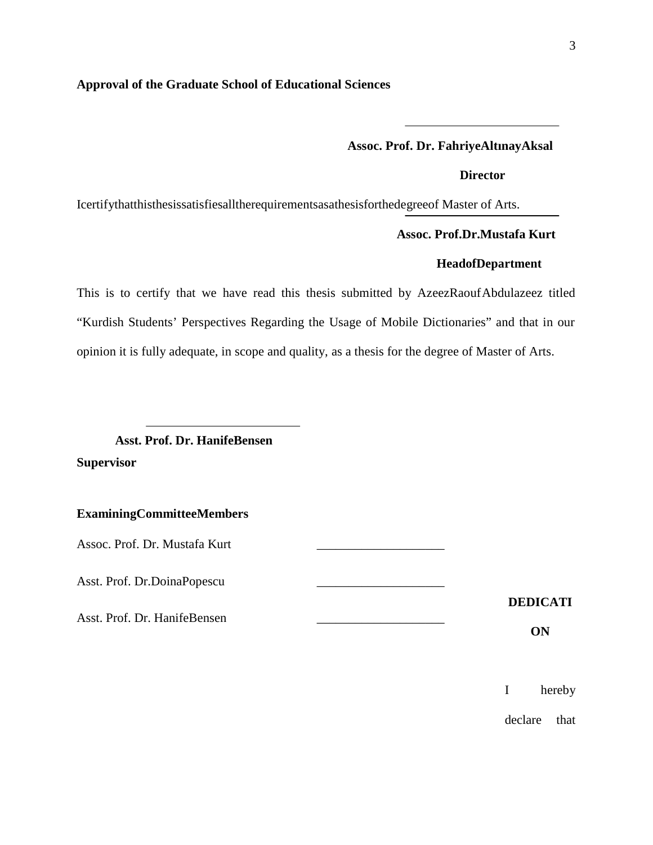#### **Approval of the Graduate School of Educational Sciences**

#### **Assoc. Prof. Dr. FahriyeAltınayAksal**

**Director**

Icertifythatthisthesissatisfiesalltherequirementsasathesisforthedegreeof Master of Arts.

#### **Assoc. Prof.Dr.Mustafa Kurt**

## **HeadofDepartment**

This is to certify that we have read this thesis submitted by AzeezRaoufAbdulazeez titled "Kurdish Students' Perspectives Regarding the Usage of Mobile Dictionaries" and that in our opinion it is fully adequate, in scope and quality, as a thesis for the degree of Master of Arts.

# **Asst. Prof. Dr. HanifeBensen Supervisor**

#### **ExaminingCommitteeMembers**

Assoc. Prof. Dr. Mustafa Kurt

Asst. Prof. Dr.DoinaPopescu \_\_\_\_\_\_\_\_\_\_\_\_\_\_\_\_\_\_\_\_

Asst. Prof. Dr. HanifeBensen \_\_\_\_\_\_\_\_\_\_\_\_\_\_\_\_\_\_\_\_

**DEDICATI**

**ON**

I hereby

declare that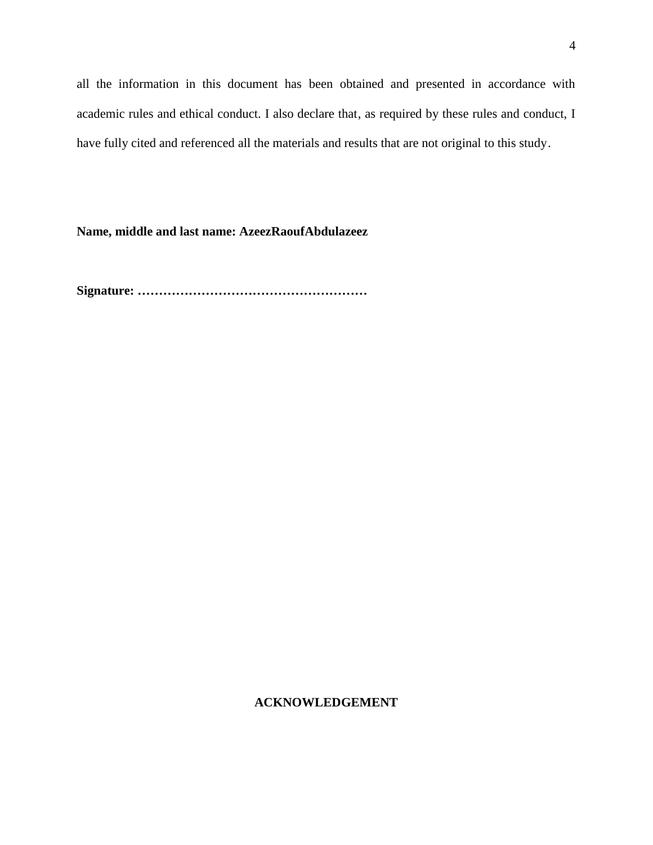all the information in this document has been obtained and presented in accordance with academic rules and ethical conduct. I also declare that, as required by these rules and conduct, I have fully cited and referenced all the materials and results that are not original to this study.

**Name, middle and last name: AzeezRaoufAbdulazeez**

**Signature: ………………………………………………**

## **ACKNOWLEDGEMENT**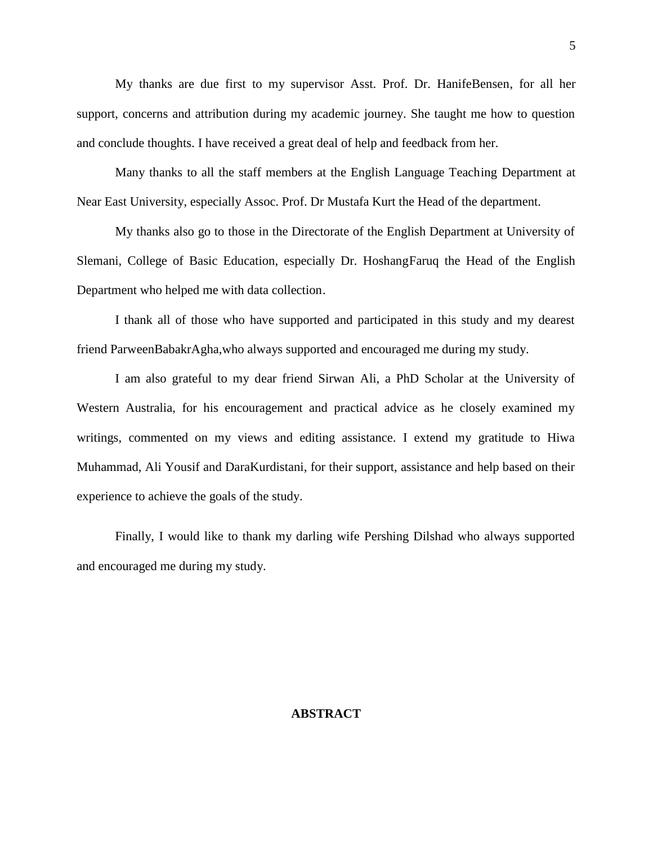My thanks are due first to my supervisor Asst. Prof. Dr. HanifeBensen, for all her support, concerns and attribution during my academic journey. She taught me how to question and conclude thoughts. I have received a great deal of help and feedback from her.

Many thanks to all the staff members at the English Language Teaching Department at Near East University, especially Assoc. Prof. Dr Mustafa Kurt the Head of the department.

My thanks also go to those in the Directorate of the English Department at University of Slemani, College of Basic Education, especially Dr. HoshangFaruq the Head of the English Department who helped me with data collection.

I thank all of those who have supported and participated in this study and my dearest friend ParweenBabakrAgha,who always supported and encouraged me during my study.

I am also grateful to my dear friend Sirwan Ali, a PhD Scholar at the University of Western Australia, for his encouragement and practical advice as he closely examined my writings, commented on my views and editing assistance. I extend my gratitude to Hiwa Muhammad, Ali Yousif and DaraKurdistani, for their support, assistance and help based on their experience to achieve the goals of the study.

Finally, I would like to thank my darling wife Pershing Dilshad who always supported and encouraged me during my study.

#### **ABSTRACT**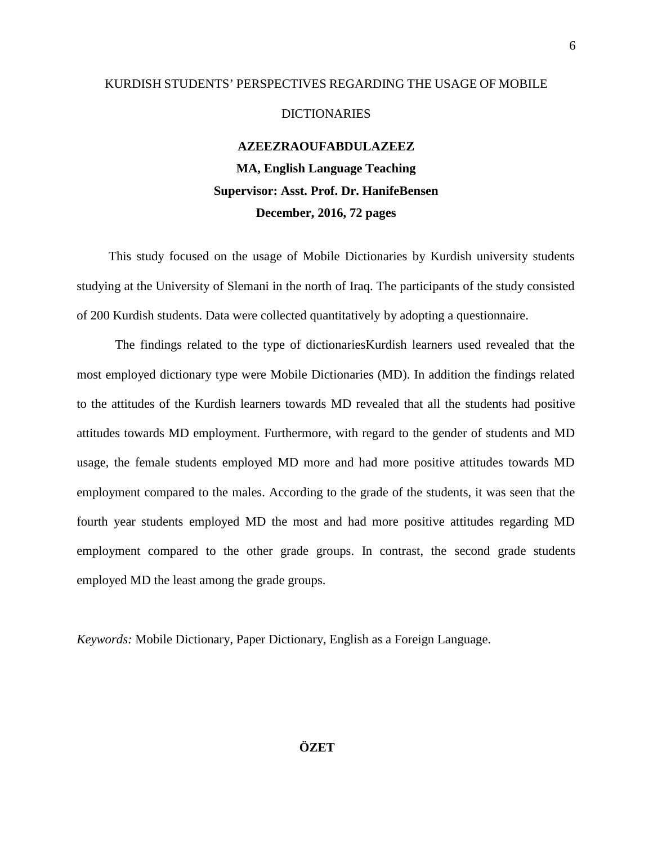#### KURDISH STUDENTS' PERSPECTIVES REGARDING THE USAGE OF MOBILE

#### DICTIONARIES

#### **AZEEZRAOUFABDULAZEEZ**

# **MA, English Language Teaching Supervisor: Asst. Prof. Dr. HanifeBensen December, 2016, 72 pages**

This study focused on the usage of Mobile Dictionaries by Kurdish university students studying at the University of Slemani in the north of Iraq. The participants of the study consisted of 200 Kurdish students. Data were collected quantitatively by adopting a questionnaire.

The findings related to the type of dictionariesKurdish learners used revealed that the most employed dictionary type were Mobile Dictionaries (MD). In addition the findings related to the attitudes of the Kurdish learners towards MD revealed that all the students had positive attitudes towards MD employment. Furthermore, with regard to the gender of students and MD usage, the female students employed MD more and had more positive attitudes towards MD employment compared to the males. According to the grade of the students, it was seen that the fourth year students employed MD the most and had more positive attitudes regarding MD employment compared to the other grade groups. In contrast, the second grade students employed MD the least among the grade groups.

*Keywords:* Mobile Dictionary, Paper Dictionary, English as a Foreign Language.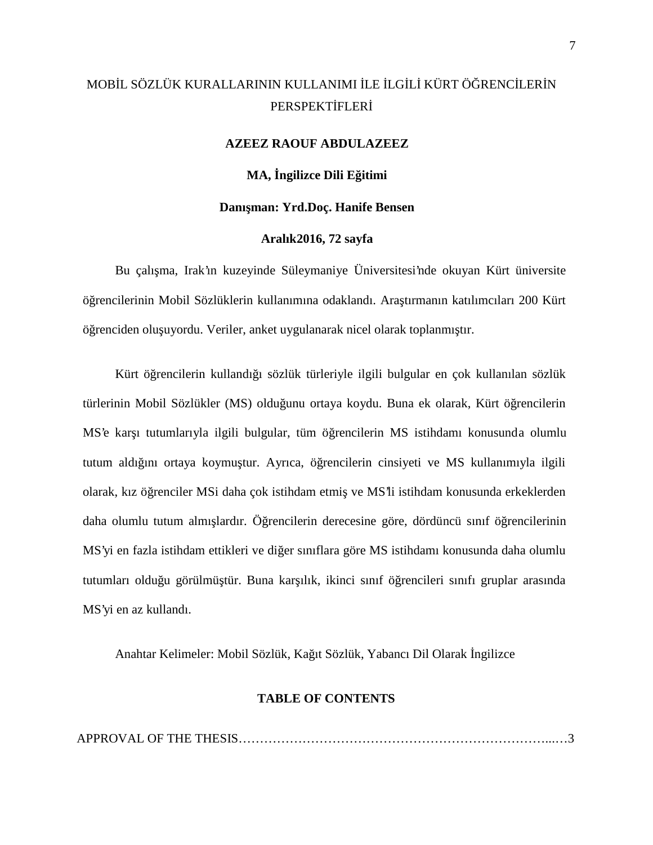# MOB L SÖZLÜK KURALLARININ KULLANIMI LE LG L KÜRT Ö RENC LER N PERSPEKT FLER

#### **AZEEZ RAOUF ABDULAZEEZ**

#### **MA, ngilizce Dili E** itimi

#### Danı man: Yrd.Doç. Hanife Bensen

#### **Aralık2016, 72 sayfa**

Bu çalışma, Irak'ın kuzeyinde Süleymaniye Üniversitesi'nde okuyan Kürt üniversite ö rencilerinin Mobil Sözlüklerin kullanımına odaklandı. Ara tırmanın katılımcıları 200 Kürt ö renciden olu uyordu. Veriler, anket uygulanarak nicel olarak toplanmı tır.

Kürt ö rencilerin kullandı 1 sözlük türleriyle ilgili bulgular en çok kullanılan sözlük türlerinin Mobil Sözlükler (MS) oldu unu ortaya koydu. Buna ek olarak, Kürt ö rencilerin MS'e kar ı tutumlarıyla ilgili bulgular, tüm ö rencilerin MS istihdamı konusunda olumlu tutum aldı ını ortaya koymu tur. Ayrıca, ö rencilerin cinsiyeti ve MS kullanımıyla ilgili olarak, kız ö renciler MSi daha çok istihdam etmi ve MS'li istihdam konusunda erkeklerden daha olumlu tutum almı lardır. Ö rencilerin derecesine göre, dördüncü sınıf ö rencilerinin MS'yi en fazla istihdam ettikleri ve di er sınıflara göre MS istihdamı konusunda daha olumlu tutumları oldu u görülmü tür. Buna kar ılık, ikinci sınıf ö rencileri sınıfı gruplar arasında MS'yi en az kullandı.

Anahtar Kelimeler: Mobil Sözlük, Kağıt Sözlük, Yabancı Dil Olarak İngilizce

#### **TABLE OF CONTENTS**

APPROVAL OF THE THESIS………………………………………………………………...…3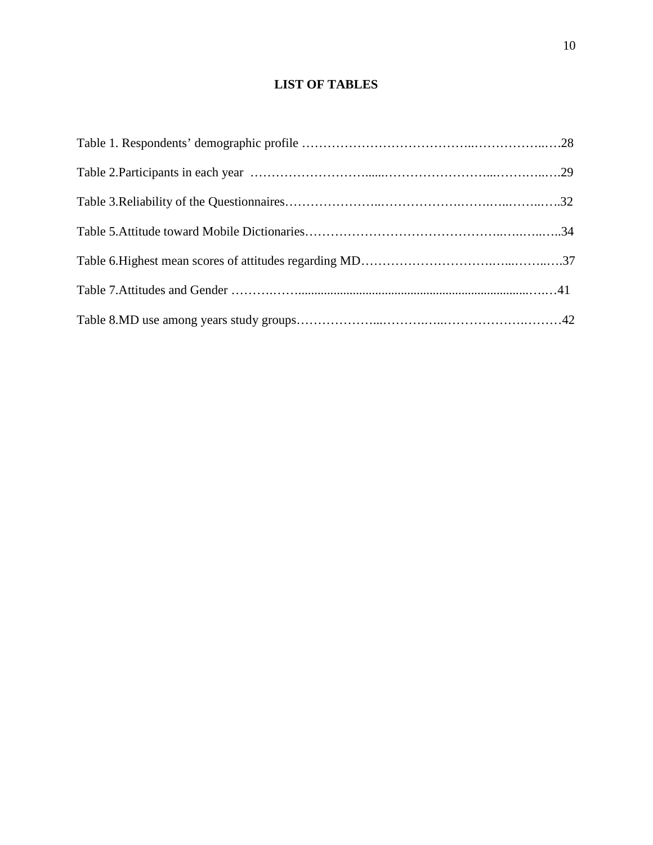# **LIST OF TABLES**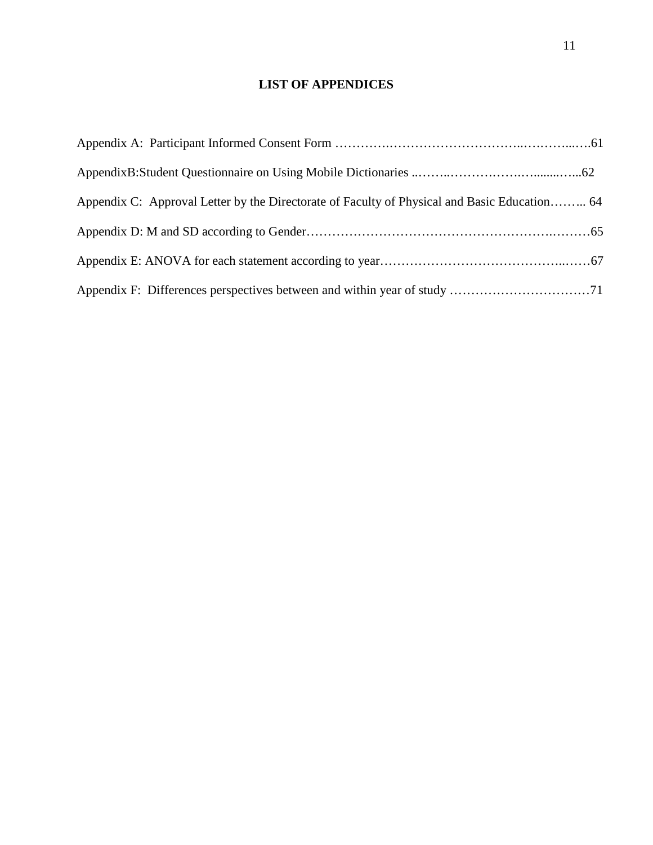# **LIST OF APPENDICES**

| Appendix C: Approval Letter by the Directorate of Faculty of Physical and Basic Education 64 |  |
|----------------------------------------------------------------------------------------------|--|
|                                                                                              |  |
|                                                                                              |  |
|                                                                                              |  |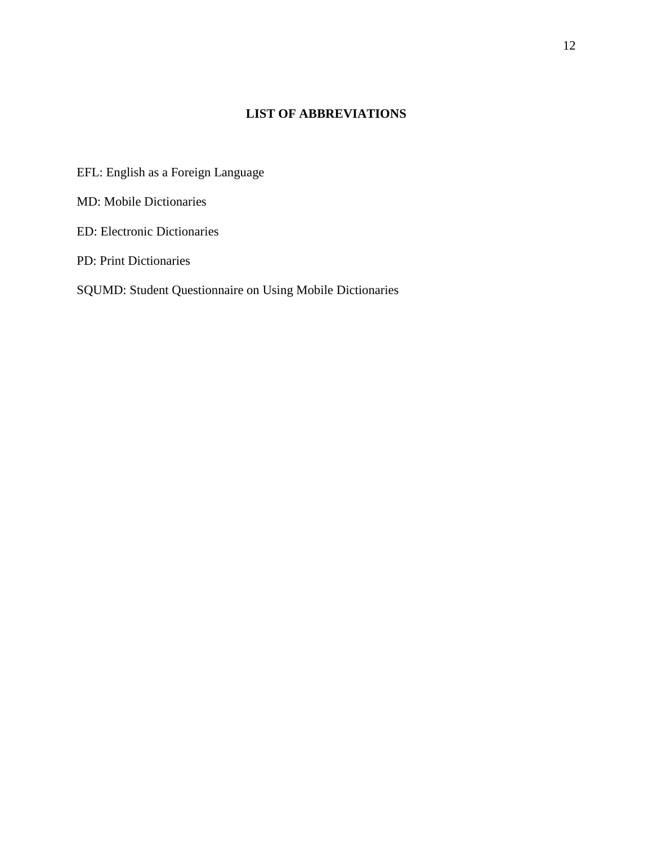# **LIST OF ABBREVIATIONS**

- EFL: English as a Foreign Language
- MD: Mobile Dictionaries
- ED: Electronic Dictionaries
- PD: Print Dictionaries

# SQUMD: Student Questionnaire on Using Mobile Dictionaries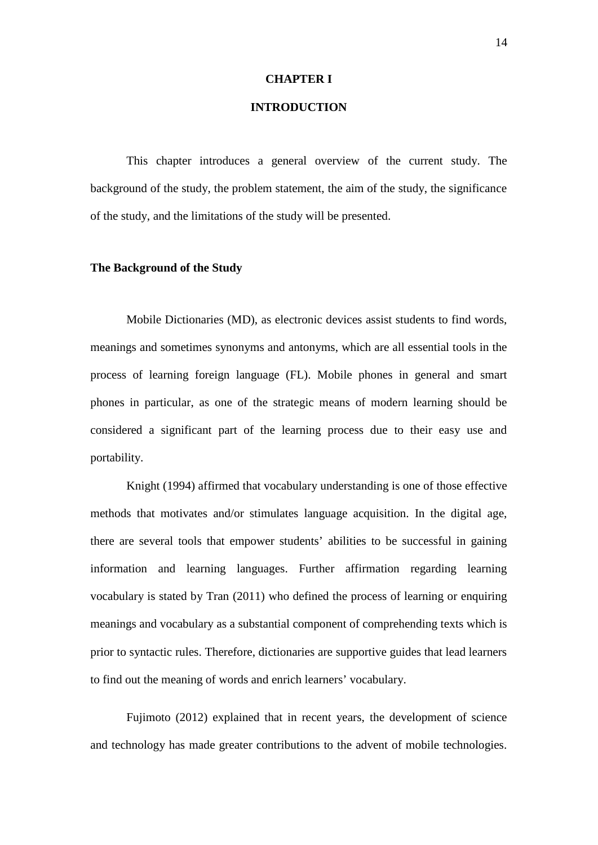#### **CHAPTER I**

#### **INTRODUCTION**

This chapter introduces a general overview of the current study. The background of the study, the problem statement, the aim of the study, the significance of the study, and the limitations of the study will be presented.

#### **The Background of the Study**

Mobile Dictionaries (MD), as electronic devices assist students to find words, meanings and sometimes synonyms and antonyms, which are all essential tools in the process of learning foreign language (FL). Mobile phones in general and smart phones in particular, as one of the strategic means of modern learning should be considered a significant part of the learning process due to their easy use and portability.

Knight (1994) affirmed that vocabulary understanding is one of those effective methods that motivates and/or stimulates language acquisition. In the digital age, there are several tools that empower students' abilities to be successful in gaining information and learning languages. Further affirmation regarding learning vocabulary is stated by Tran (2011) who defined the process of learning or enquiring meanings and vocabulary as a substantial component of comprehending texts which is prior to syntactic rules. Therefore, dictionaries are supportive guides that lead learners to find out the meaning of words and enrich learners' vocabulary.

Fujimoto (2012) explained that in recent years, the development of science and technology has made greater contributions to the advent of mobile technologies.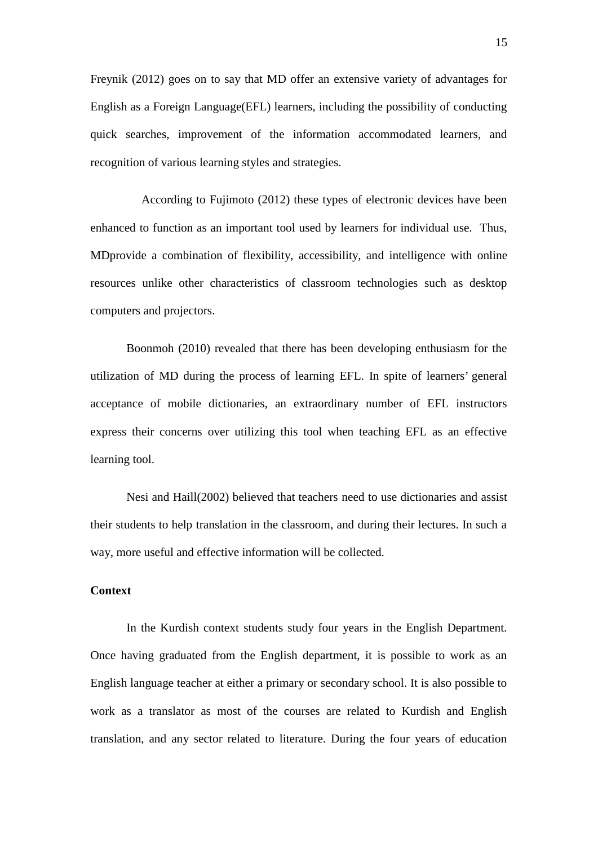Freynik (2012) goes on to say that MD offer an extensive variety of advantages for English as a Foreign Language(EFL) learners, including the possibility of conducting quick searches, improvement of the information accommodated learners, and recognition of various learning styles and strategies.

According to Fujimoto (2012) these types of electronic devices have been enhanced to function as an important tool used by learners for individual use. Thus, MDprovide a combination of flexibility, accessibility, and intelligence with online resources unlike other characteristics of classroom technologies such as desktop computers and projectors.

Boonmoh (2010) revealed that there has been developing enthusiasm for the utilization of MD during the process of learning EFL. In spite of learners' general acceptance of mobile dictionaries, an extraordinary number of EFL instructors express their concerns over utilizing this tool when teaching EFL as an effective learning tool.

Nesi and Haill(2002) believed that teachers need to use dictionaries and assist their students to help translation in the classroom, and during their lectures. In such a way, more useful and effective information will be collected.

## **Context**

In the Kurdish context students study four years in the English Department. Once having graduated from the English department, it is possible to work as an English language teacher at either a primary or secondary school. It is also possible to work as a translator as most of the courses are related to Kurdish and English translation, and any sector related to literature. During the four years of education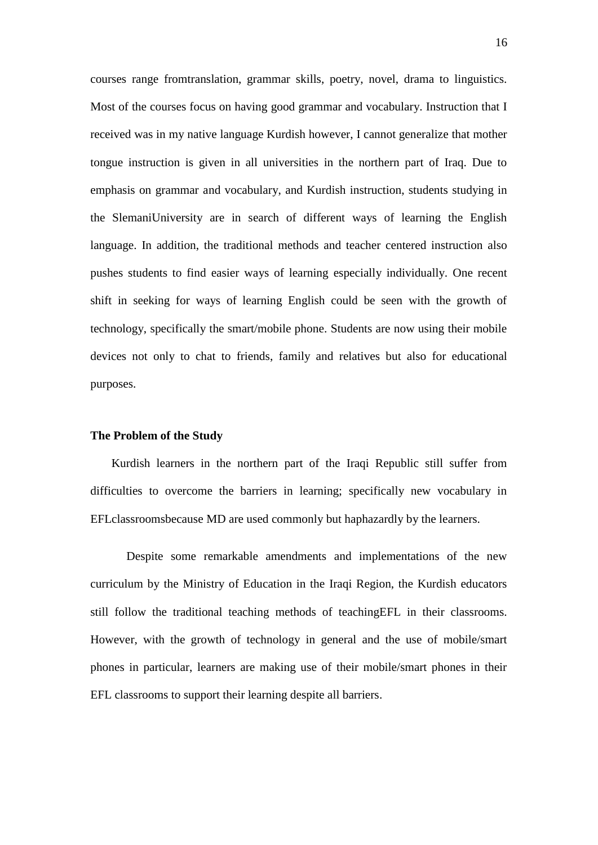courses range fromtranslation, grammar skills, poetry, novel, drama to linguistics. Most of the courses focus on having good grammar and vocabulary. Instruction that I received was in my native language Kurdish however, I cannot generalize that mother tongue instruction is given in all universities in the northern part of Iraq. Due to emphasis on grammar and vocabulary, and Kurdish instruction, students studying in the SlemaniUniversity are in search of different ways of learning the English language. In addition, the traditional methods and teacher centered instruction also pushes students to find easier ways of learning especially individually. One recent shift in seeking for ways of learning English could be seen with the growth of technology, specifically the smart/mobile phone. Students are now using their mobile devices not only to chat to friends, family and relatives but also for educational purposes.

#### **The Problem of the Study**

Kurdish learners in the northern part of the Iraqi Republic still suffer from difficulties to overcome the barriers in learning; specifically new vocabulary in EFLclassroomsbecause MD are used commonly but haphazardly by the learners.

Despite some remarkable amendments and implementations of the new curriculum by the Ministry of Education in the Iraqi Region, the Kurdish educators still follow the traditional teaching methods of teachingEFL in their classrooms. However, with the growth of technology in general and the use of mobile/smart phones in particular, learners are making use of their mobile/smart phones in their EFL classrooms to support their learning despite all barriers.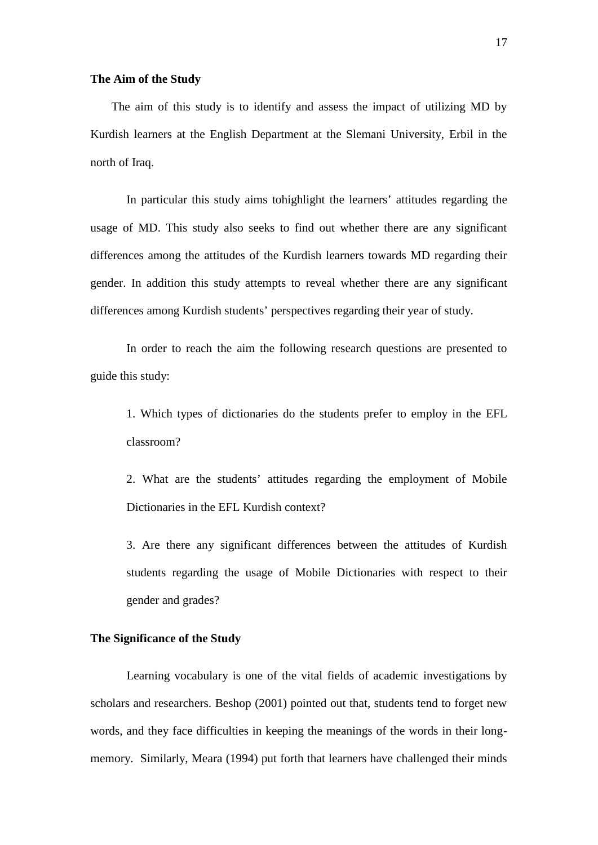#### **The Aim of the Study**

The aim of this study is to identify and assess the impact of utilizing MD by Kurdish learners at the English Department at the Slemani University, Erbil in the north of Iraq.

In particular this study aims tohighlight the learners' attitudes regarding the usage of MD. This study also seeks to find out whether there are any significant differences among the attitudes of the Kurdish learners towards MD regarding their gender. In addition this study attempts to reveal whether there are any significant differences among Kurdish students' perspectives regarding their year of study.

In order to reach the aim the following research questions are presented to guide this study:

1. Which types of dictionaries do the students prefer to employ in the EFL classroom?

2. What are the students' attitudes regarding the employment of Mobile Dictionaries in the EFL Kurdish context?

3. Are there any significant differences between the attitudes of Kurdish students regarding the usage of Mobile Dictionaries with respect to their gender and grades?

#### **The Significance of the Study**

Learning vocabulary is one of the vital fields of academic investigations by scholars and researchers. Beshop (2001) pointed out that, students tend to forget new words, and they face difficulties in keeping the meanings of the words in their long memory. Similarly, Meara (1994) put forth that learners have challenged their minds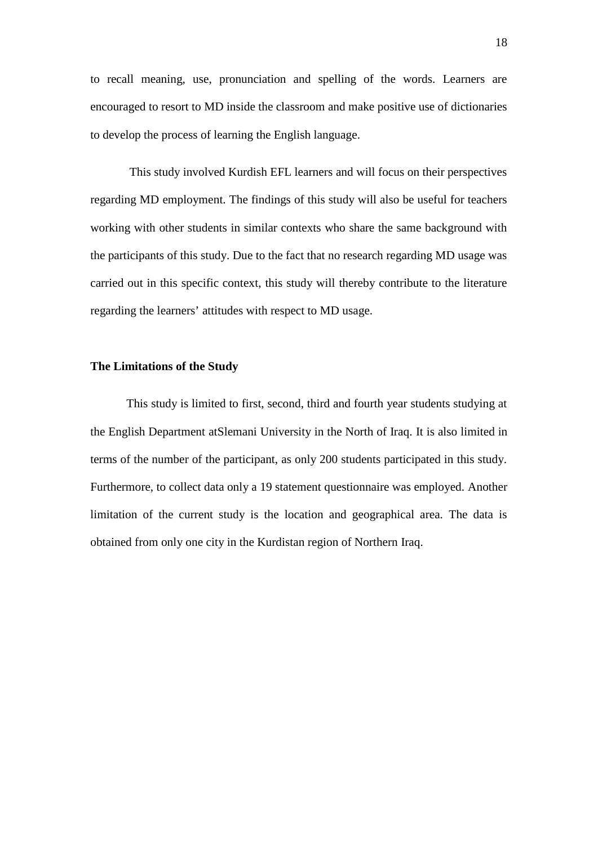to recall meaning, use, pronunciation and spelling of the words. Learners are encouraged to resort to MD inside the classroom and make positive use of dictionaries to develop the process of learning the English language.

This study involved Kurdish EFL learners and will focus on their perspectives regarding MD employment. The findings of this study will also be useful for teachers working with other students in similar contexts who share the same background with the participants of this study. Due to the fact that no research regarding MD usage was carried out in this specific context, this study will thereby contribute to the literature regarding the learners' attitudes with respect to MD usage.

#### **The Limitations of the Study**

This study is limited to first, second, third and fourth year students studying at the English Department atSlemani University in the North of Iraq. It is also limited in terms of the number of the participant, as only 200 students participated in this study. Furthermore, to collect data only a 19 statement questionnaire was employed. Another limitation of the current study is the location and geographical area. The data is obtained from only one city in the Kurdistan region of Northern Iraq.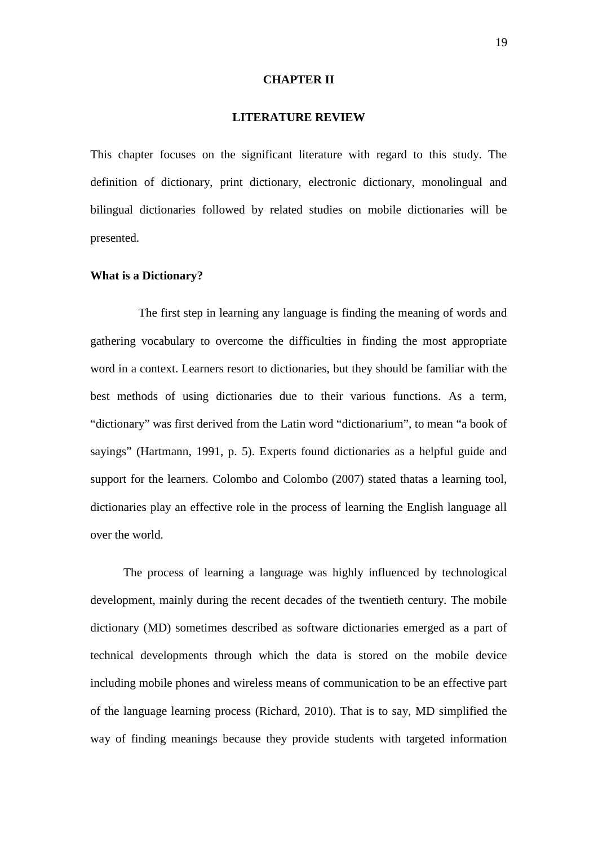#### **CHAPTER II**

#### **LITERATURE REVIEW**

This chapter focuses on the significant literature with regard to this study. The definition of dictionary, print dictionary, electronic dictionary, monolingual and bilingual dictionaries followed by related studies on mobile dictionaries will be presented.

#### **What is a Dictionary?**

The first step in learning any language is finding the meaning of words and gathering vocabulary to overcome the difficulties in finding the most appropriate word in a context. Learners resort to dictionaries, but they should be familiar with the best methods of using dictionaries due to their various functions. As a term, "dictionary" was first derived from the Latin word "dictionarium", to mean "a book of sayings" (Hartmann, 1991, p. 5). Experts found dictionaries as a helpful guide and support for the learners. Colombo and Colombo (2007) stated thatas a learning tool, dictionaries play an effective role in the process of learning the English language all over the world.

The process of learning a language was highly influenced by technological development, mainly during the recent decades of the twentieth century. The mobile dictionary (MD) sometimes described as software dictionaries emerged as a part of technical developments through which the data is stored on the mobile device including mobile phones and wireless means of communication to be an effective part of the language learning process (Richard, 2010). That is to say, MD simplified the way of finding meanings because they provide students with targeted information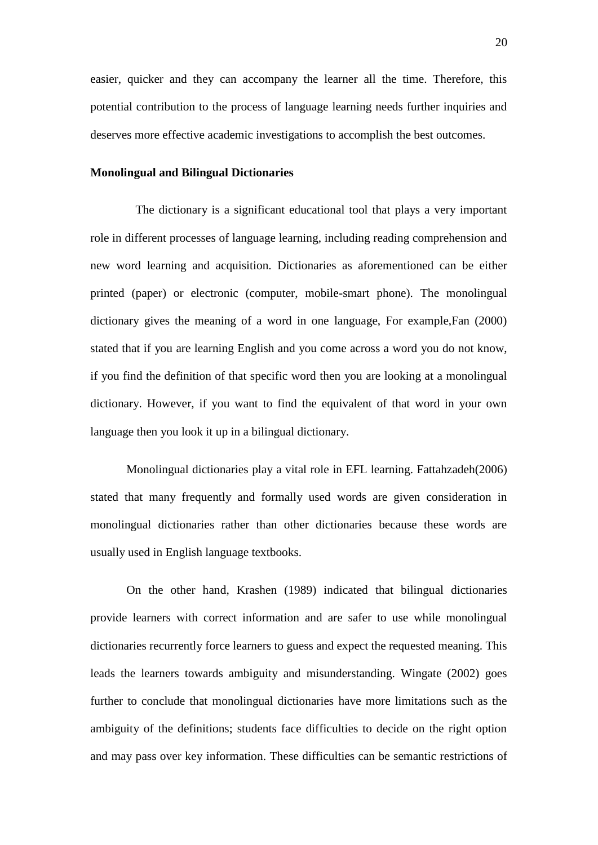easier, quicker and they can accompany the learner all the time. Therefore, this potential contribution to the process of language learning needs further inquiries and deserves more effective academic investigations to accomplish the best outcomes.

#### **Monolingual and Bilingual Dictionaries**

The dictionary is a significant educational tool that plays a very important role in different processes of language learning, including reading comprehension and new word learning and acquisition. Dictionaries as aforementioned can be either printed (paper) or electronic (computer, mobile-smart phone). The monolingual dictionary gives the meaning of a word in one language, For example,Fan (2000) stated that if you are learning English and you come across a word you do not know, if you find the definition of that specific word then you are looking at a monolingual dictionary. However, if you want to find the equivalent of that word in your own language then you look it up in a bilingual dictionary.

Monolingual dictionaries play a vital role in EFL learning. Fattahzadeh(2006) stated that many frequently and formally used words are given consideration in monolingual dictionaries rather than other dictionaries because these words are usually used in English language textbooks.

On the other hand, Krashen (1989) indicated that bilingual dictionaries provide learners with correct information and are safer to use while monolingual dictionaries recurrently force learners to guess and expect the requested meaning. This leads the learners towards ambiguity and misunderstanding. Wingate (2002) goes further to conclude that monolingual dictionaries have more limitations such as the ambiguity of the definitions; students face difficulties to decide on the right option and may pass over key information. These difficulties can be semantic restrictions of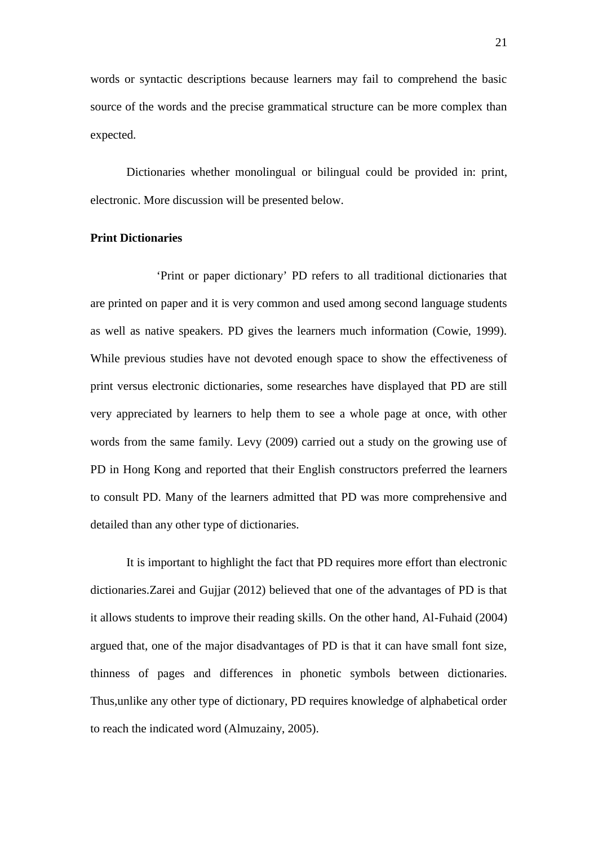words or syntactic descriptions because learners may fail to comprehend the basic source of the words and the precise grammatical structure can be more complex than expected.

Dictionaries whether monolingual or bilingual could be provided in: print, electronic. More discussion will be presented below.

#### **Print Dictionaries**

'Print or paper dictionary' PD refers to all traditional dictionaries that are printed on paper and it is very common and used among second language students as well as native speakers. PD gives the learners much information (Cowie, 1999). While previous studies have not devoted enough space to show the effectiveness of print versus electronic dictionaries, some researches have displayed that PD are still very appreciated by learners to help them to see a whole page at once, with other words from the same family. Levy (2009) carried out a study on the growing use of PD in Hong Kong and reported that their English constructors preferred the learners to consult PD. Many of the learners admitted that PD was more comprehensive and detailed than any other type of dictionaries.

It is important to highlight the fact that PD requires more effort than electronic dictionaries.Zarei and Gujjar (2012) believed that one of the advantages of PD is that it allows students to improve their reading skills. On the other hand, Al-Fuhaid (2004) argued that, one of the major disadvantages of PD is that it can have small font size, thinness of pages and differences in phonetic symbols between dictionaries. Thus,unlike any other type of dictionary, PD requires knowledge of alphabetical order to reach the indicated word (Almuzainy, 2005).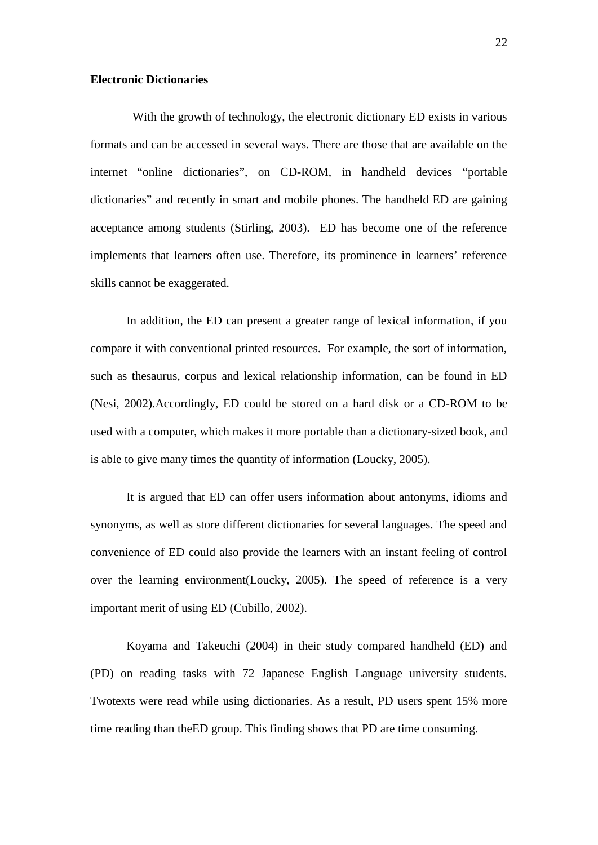#### **Electronic Dictionaries**

With the growth of technology, the electronic dictionary ED exists in various formats and can be accessed in several ways. There are those that are available on the internet "online dictionaries", on CD-ROM, in handheld devices "portable dictionaries" and recently in smart and mobile phones. The handheld ED are gaining acceptance among students (Stirling, 2003). ED has become one of the reference implements that learners often use. Therefore, its prominence in learners' reference skills cannot be exaggerated.

In addition, the ED can present a greater range of lexical information, if you compare it with conventional printed resources. For example, the sort of information, such as thesaurus, corpus and lexical relationship information, can be found in ED (Nesi, 2002).Accordingly, ED could be stored on a hard disk or a CD-ROM to be used with a computer, which makes it more portable than a dictionary-sized book, and is able to give many times the quantity of information (Loucky, 2005).

It is argued that ED can offer users information about antonyms, idioms and synonyms, as well as store different dictionaries for several languages. The speed and convenience of ED could also provide the learners with an instant feeling of control over the learning environment(Loucky, 2005). The speed of reference is a very important merit of using ED (Cubillo, 2002).

Koyama and Takeuchi (2004) in their study compared handheld (ED) and (PD) on reading tasks with 72 Japanese English Language university students. Twotexts were read while using dictionaries. As a result, PD users spent 15% more time reading than theED group. This finding shows that PD are time consuming.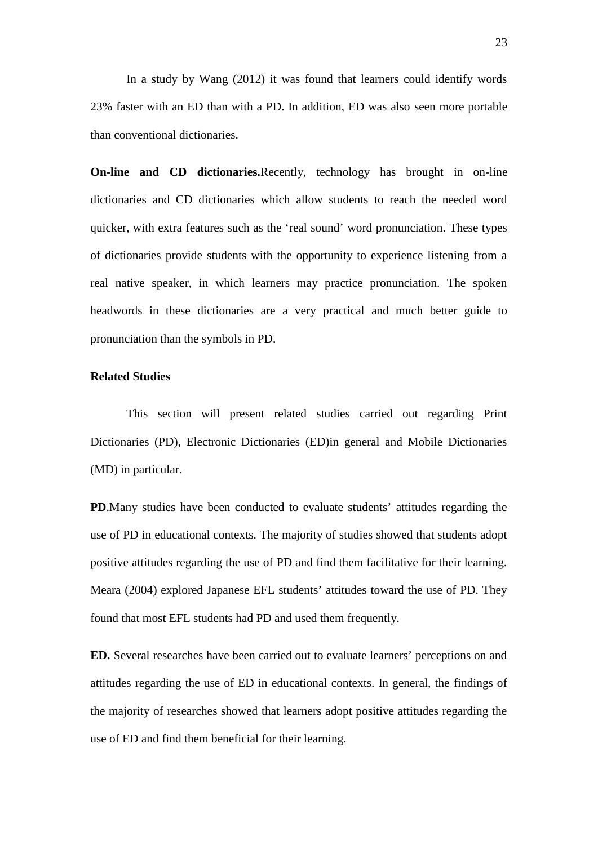In a study by Wang (2012) it was found that learners could identify words 23% faster with an ED than with a PD. In addition, ED was also seen more portable than conventional dictionaries.

**On-line and CD dictionaries.**Recently, technology has brought in on-line dictionaries and CD dictionaries which allow students to reach the needed word quicker, with extra features such as the 'real sound' word pronunciation. These types of dictionaries provide students with the opportunity to experience listening from a real native speaker, in which learners may practice pronunciation. The spoken headwords in these dictionaries are a very practical and much better guide to pronunciation than the symbols in PD.

#### **Related Studies**

This section will present related studies carried out regarding Print Dictionaries (PD), Electronic Dictionaries (ED)in general and Mobile Dictionaries (MD) in particular.

**PD**.Many studies have been conducted to evaluate students' attitudes regarding the use of PD in educational contexts. The majority of studies showed that students adopt positive attitudes regarding the use of PD and find them facilitative for their learning. Meara (2004) explored Japanese EFL students' attitudes toward the use of PD. They found that most EFL students had PD and used them frequently.

**ED.** Several researches have been carried out to evaluate learners' perceptions on and attitudes regarding the use of ED in educational contexts. In general, the findings of the majority of researches showed that learners adopt positive attitudes regarding the use of ED and find them beneficial for their learning.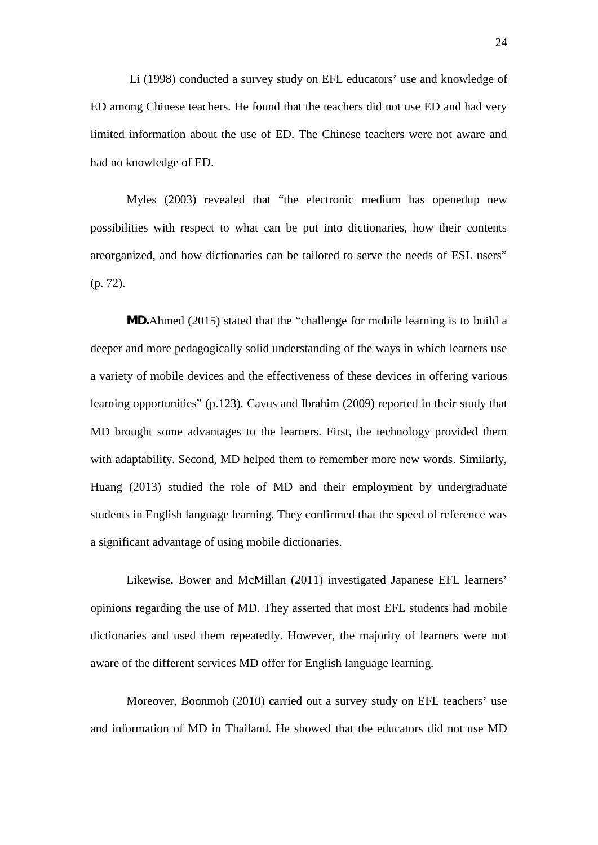Li (1998) conducted a survey study on EFL educators' use and knowledge of ED among Chinese teachers. He found that the teachers did not use ED and had very limited information about the use of ED. The Chinese teachers were not aware and had no knowledge of ED.

Myles (2003) revealed that "the electronic medium has openedup new possibilities with respect to what can be put into dictionaries, how their contents areorganized, and how dictionaries can be tailored to serve the needs of ESL users" (p. 72).

*MD.*Ahmed (2015) stated that the "challenge for mobile learning is to build a deeper and more pedagogically solid understanding of the ways in which learners use a variety of mobile devices and the effectiveness of these devices in offering various learning opportunities" (p.123). Cavus and Ibrahim (2009) reported in their study that MD brought some advantages to the learners. First, the technology provided them with adaptability. Second, MD helped them to remember more new words. Similarly, Huang (2013) studied the role of MD and their employment by undergraduate students in English language learning. They confirmed that the speed of reference was a significant advantage of using mobile dictionaries.

Likewise, Bower and McMillan (2011) investigated Japanese EFL learners' opinions regarding the use of MD. They asserted that most EFL students had mobile dictionaries and used them repeatedly. However, the majority of learners were not aware of the different services MD offer for English language learning.

Moreover, Boonmoh (2010) carried out a survey study on EFL teachers' use and information of MD in Thailand. He showed that the educators did not use MD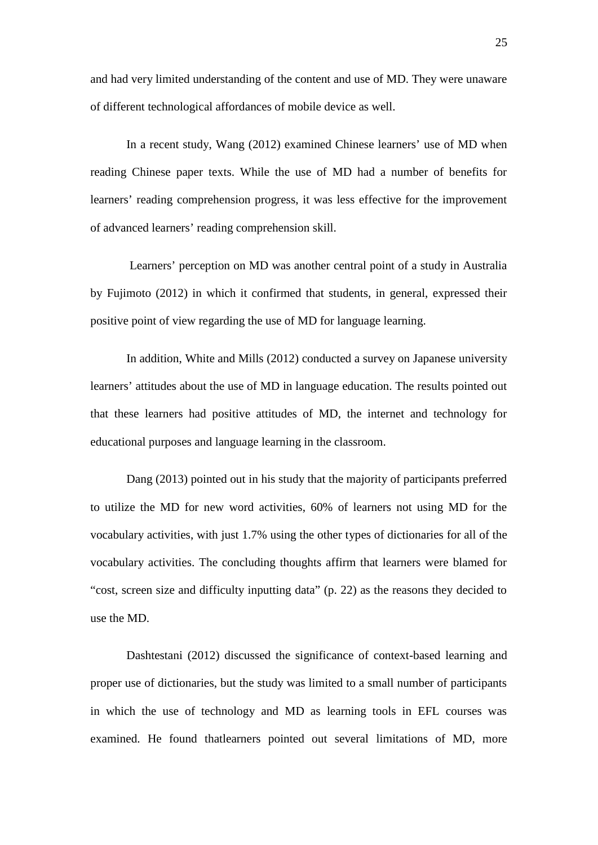and had very limited understanding of the content and use of MD. They were unaware of different technological affordances of mobile device as well.

In a recent study, Wang (2012) examined Chinese learners' use of MD when reading Chinese paper texts. While the use of MD had a number of benefits for learners' reading comprehension progress, it was less effective for the improvement of advanced learners' reading comprehension skill.

Learners' perception on MD was another central point of a study in Australia by Fujimoto (2012) in which it confirmed that students, in general, expressed their positive point of view regarding the use of MD for language learning.

In addition, White and Mills (2012) conducted a survey on Japanese university learners' attitudes about the use of MD in language education. The results pointed out that these learners had positive attitudes of MD, the internet and technology for educational purposes and language learning in the classroom.

Dang (2013) pointed out in his study that the majority of participants preferred to utilize the MD for new word activities, 60% of learners not using MD for the vocabulary activities, with just 1.7% using the other types of dictionaries for all of the vocabulary activities. The concluding thoughts affirm that learners were blamed for "cost, screen size and difficulty inputting data" (p. 22) as the reasons they decided to use the MD.

Dashtestani (2012) discussed the significance of context-based learning and proper use of dictionaries, but the study was limited to a small number of participants in which the use of technology and MD as learning tools in EFL courses was examined. He found thatlearners pointed out several limitations of MD, more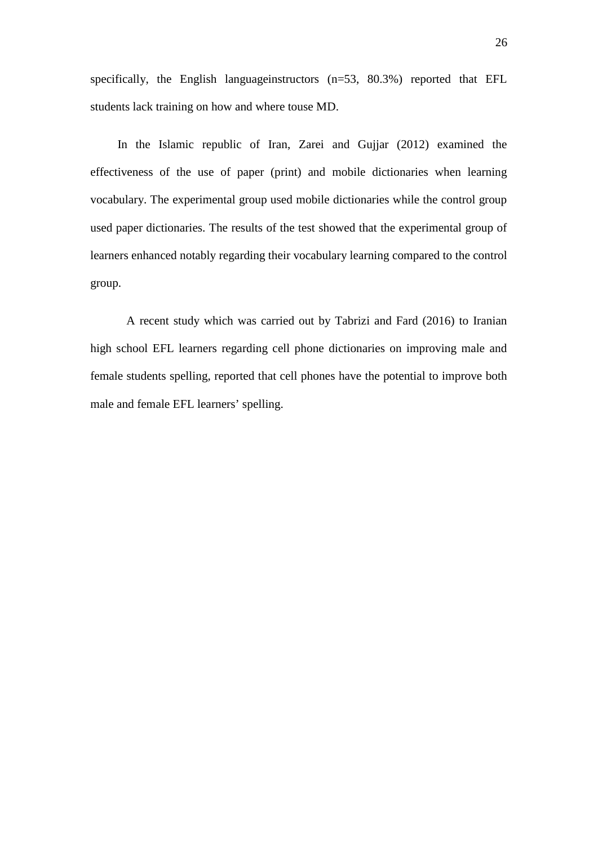specifically, the English languageinstructors (n=53, 80.3%) reported that EFL students lack training on how and where touse MD.

In the Islamic republic of Iran, Zarei and Gujjar (2012) examined the effectiveness of the use of paper (print) and mobile dictionaries when learning vocabulary. The experimental group used mobile dictionaries while the control group used paper dictionaries. The results of the test showed that the experimental group of learners enhanced notably regarding their vocabulary learning compared to the control group.

A recent study which was carried out by Tabrizi and Fard (2016) to Iranian high school EFL learners regarding cell phone dictionaries on improving male and female students spelling, reported that cell phones have the potential to improve both male and female EFL learners' spelling.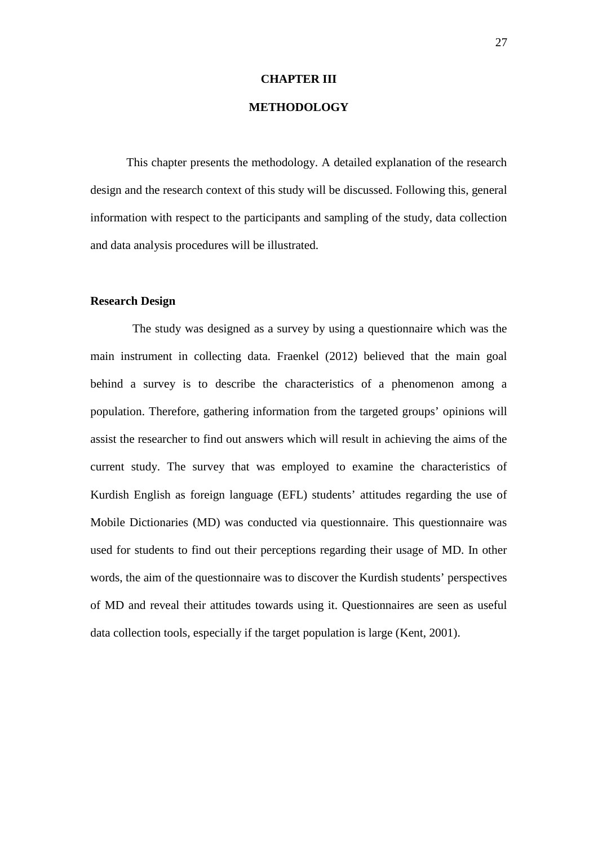#### **CHAPTER III**

### **METHODOLOGY**

This chapter presents the methodology. A detailed explanation of the research design and the research context of this study will be discussed. Following this, general information with respect to the participants and sampling of the study, data collection and data analysis procedures will be illustrated.

#### **Research Design**

The study was designed as a survey by using a questionnaire which was the main instrument in collecting data. Fraenkel (2012) believed that the main goal behind a survey is to describe the characteristics of a phenomenon among a population. Therefore, gathering information from the targeted groups' opinions will assist the researcher to find out answers which will result in achieving the aims of the current study. The survey that was employed to examine the characteristics of Kurdish English as foreign language (EFL) students' attitudes regarding the use of Mobile Dictionaries (MD) was conducted via questionnaire. This questionnaire was used for students to find out their perceptions regarding their usage of MD. In other words, the aim of the questionnaire was to discover the Kurdish students' perspectives of MD and reveal their attitudes towards using it. Questionnaires are seen as useful data collection tools, especially if the target population is large (Kent, 2001).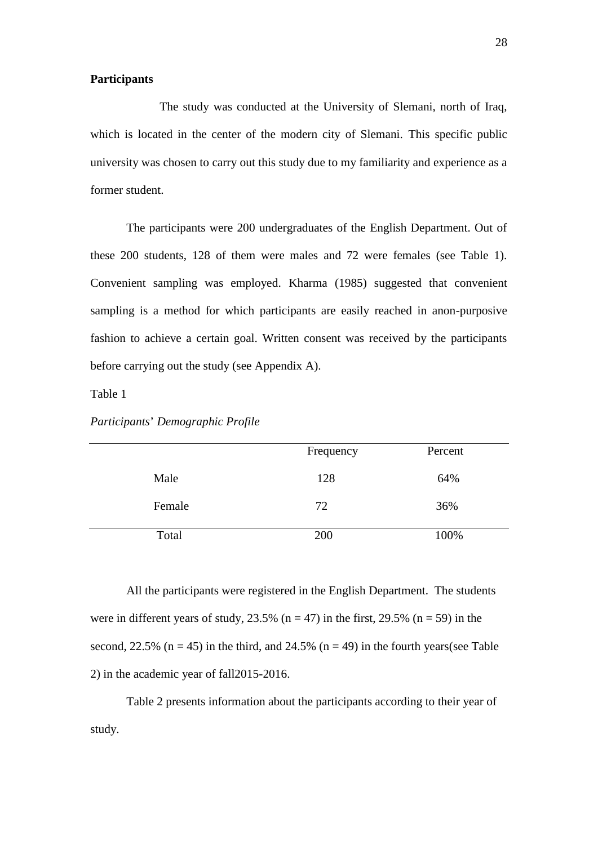#### **Participants**

The study was conducted at the University of Slemani, north of Iraq, which is located in the center of the modern city of Slemani. This specific public university was chosen to carry out this study due to my familiarity and experience as a former student.

The participants were 200 undergraduates of the English Department. Out of these 200 students, 128 of them were males and 72 were females (see Table 1). Convenient sampling was employed. Kharma (1985) suggested that convenient sampling is a method for which participants are easily reached in anon-purposive fashion to achieve a certain goal. Written consent was received by the participants before carrying out the study (see Appendix A).

Table 1

|        | Frequency | Percent |  |
|--------|-----------|---------|--|
| Male   | 128       | 64%     |  |
| Female | 72        | 36%     |  |
| Total  | 200       | 100%    |  |

*Participants*' *Demographic Profile*

All the participants were registered in the English Department. The students were in different years of study,  $23.5\%$  (n = 47) in the first, 29.5% (n = 59) in the second, 22.5% ( $n = 45$ ) in the third, and 24.5% ( $n = 49$ ) in the fourth years(see Table 2) in the academic year of fall2015-2016.

Table 2 presents information about the participants according to their year of study.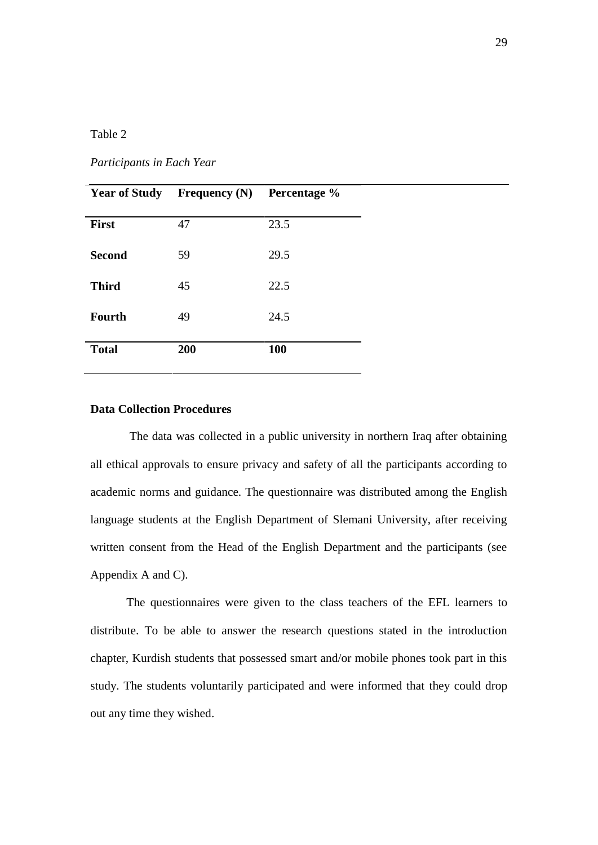### Table 2

*Participants in Each Year*

| <b>Year of Study</b> | Frequency $(N)$ | Percentage % |
|----------------------|-----------------|--------------|
| <b>First</b>         | 47              | 23.5         |
| <b>Second</b>        | 59              | 29.5         |
| <b>Third</b>         | 45              | 22.5         |
| <b>Fourth</b>        | 49              | 24.5         |
| <b>Total</b>         | 200             | <b>100</b>   |

#### **Data Collection Procedures**

The data was collected in a public university in northern Iraq after obtaining all ethical approvals to ensure privacy and safety of all the participants according to academic norms and guidance. The questionnaire was distributed among the English language students at the English Department of Slemani University, after receiving written consent from the Head of the English Department and the participants (see Appendix A and C).

The questionnaires were given to the class teachers of the EFL learners to distribute. To be able to answer the research questions stated in the introduction chapter, Kurdish students that possessed smart and/or mobile phones took part in this study. The students voluntarily participated and were informed that they could drop out any time they wished.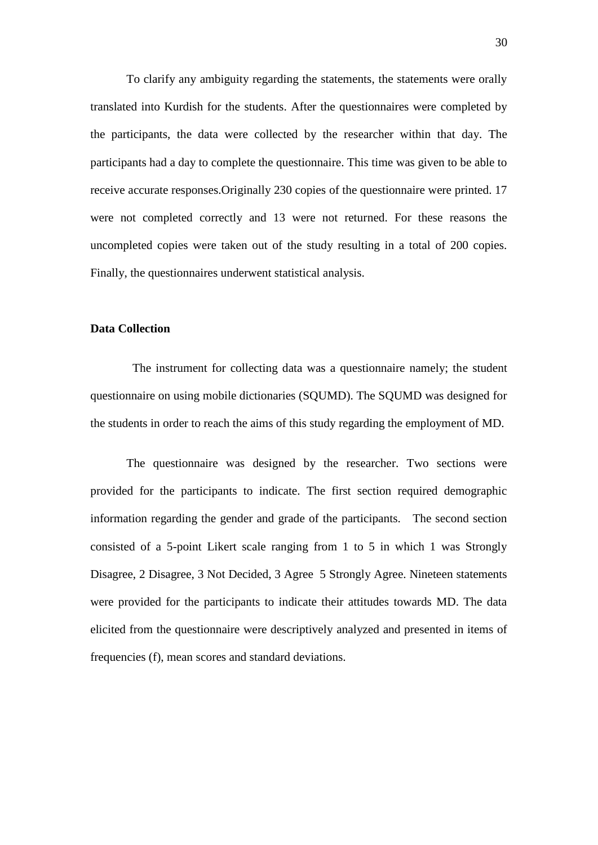To clarify any ambiguity regarding the statements, the statements were orally translated into Kurdish for the students. After the questionnaires were completed by the participants, the data were collected by the researcher within that day. The participants had a day to complete the questionnaire. This time was given to be able to receive accurate responses.Originally 230 copies of the questionnaire were printed. 17 were not completed correctly and 13 were not returned. For these reasons the uncompleted copies were taken out of the study resulting in a total of 200 copies. Finally, the questionnaires underwent statistical analysis.

#### **Data Collection**

The instrument for collecting data was a questionnaire namely; the student questionnaire on using mobile dictionaries (SQUMD). The SQUMD was designed for the students in order to reach the aims of this study regarding the employment of MD.

The questionnaire was designed by the researcher. Two sections were provided for the participants to indicate. The first section required demographic information regarding the gender and grade of the participants. The second section consisted of a 5-point Likert scale ranging from 1 to 5 in which 1 was Strongly Disagree, 2 Disagree, 3 Not Decided, 3 Agree 5 Strongly Agree. Nineteen statements were provided for the participants to indicate their attitudes towards MD. The data elicited from the questionnaire were descriptively analyzed and presented in items of frequencies (f), mean scores and standard deviations.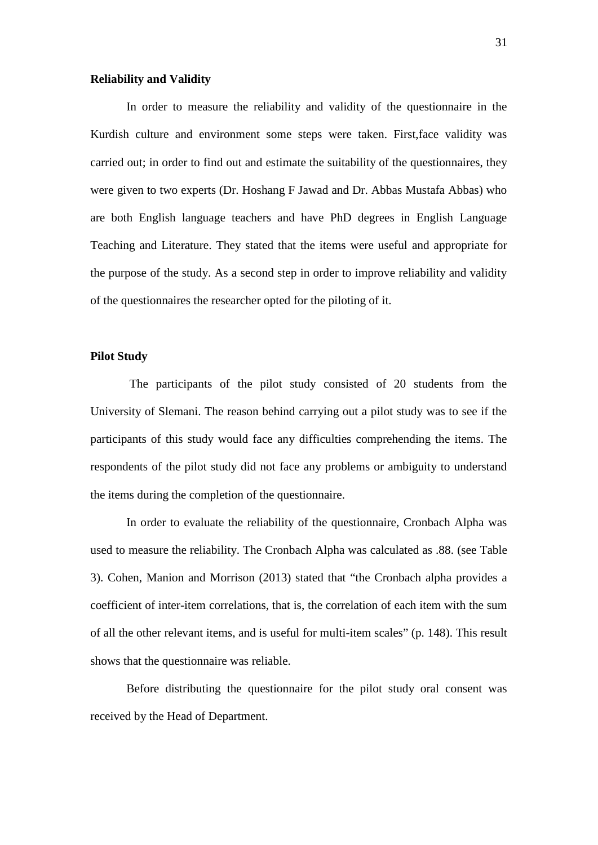#### **Reliability and Validity**

In order to measure the reliability and validity of the questionnaire in the Kurdish culture and environment some steps were taken. First,face validity was carried out; in order to find out and estimate the suitability of the questionnaires, they were given to two experts (Dr. Hoshang F Jawad and Dr. Abbas Mustafa Abbas) who are both English language teachers and have PhD degrees in English Language Teaching and Literature. They stated that the items were useful and appropriate for the purpose of the study. As a second step in order to improve reliability and validity of the questionnaires the researcher opted for the piloting of it.

## **Pilot Study**

The participants of the pilot study consisted of 20 students from the University of Slemani. The reason behind carrying out a pilot study was to see if the participants of this study would face any difficulties comprehending the items. The respondents of the pilot study did not face any problems or ambiguity to understand the items during the completion of the questionnaire.

In order to evaluate the reliability of the questionnaire, Cronbach Alpha was used to measure the reliability. The Cronbach Alpha was calculated as .88. (see Table 3). Cohen, Manion and Morrison (2013) stated that "the Cronbach alpha provides a coefficient of inter-item correlations, that is, the correlation of each item with the sum of all the other relevant items, and is useful for multi-item scales" (p. 148). This result shows that the questionnaire was reliable.

Before distributing the questionnaire for the pilot study oral consent was received by the Head of Department.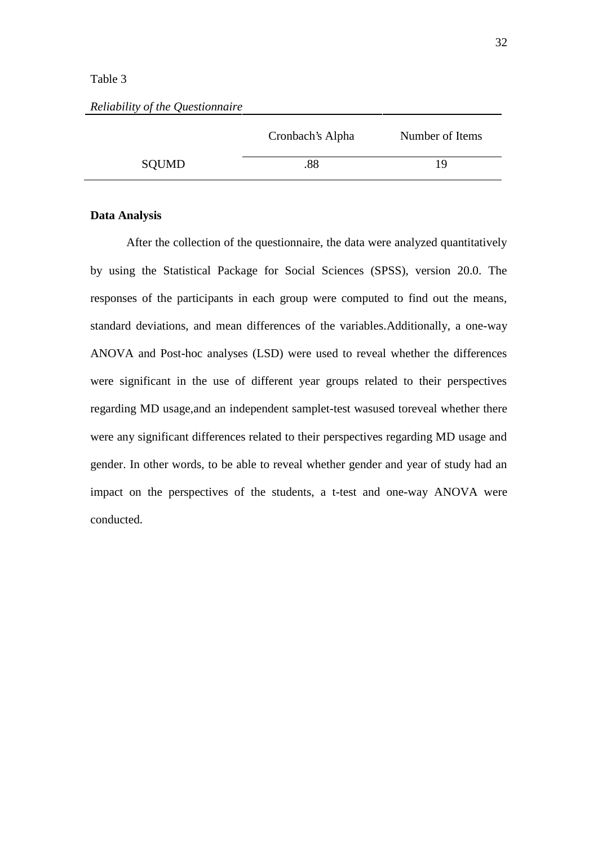#### Table 3

|       | Cronbach's Alpha | Number of Items |
|-------|------------------|-----------------|
| SQUMD | .88              | 19              |

#### *Reliability of the Questionnaire*

### **Data Analysis**

After the collection of the questionnaire, the data were analyzed quantitatively by using the Statistical Package for Social Sciences (SPSS), version 20.0. The responses of the participants in each group were computed to find out the means, standard deviations, and mean differences of the variables.Additionally, a one-way ANOVA and Post-hoc analyses (LSD) were used to reveal whether the differences were significant in the use of different year groups related to their perspectives regarding MD usage,and an independent samplet-test wasused toreveal whether there were any significant differences related to their perspectives regarding MD usage and gender. In other words, to be able to reveal whether gender and year of study had an impact on the perspectives of the students, a t-test and one-way ANOVA were conducted.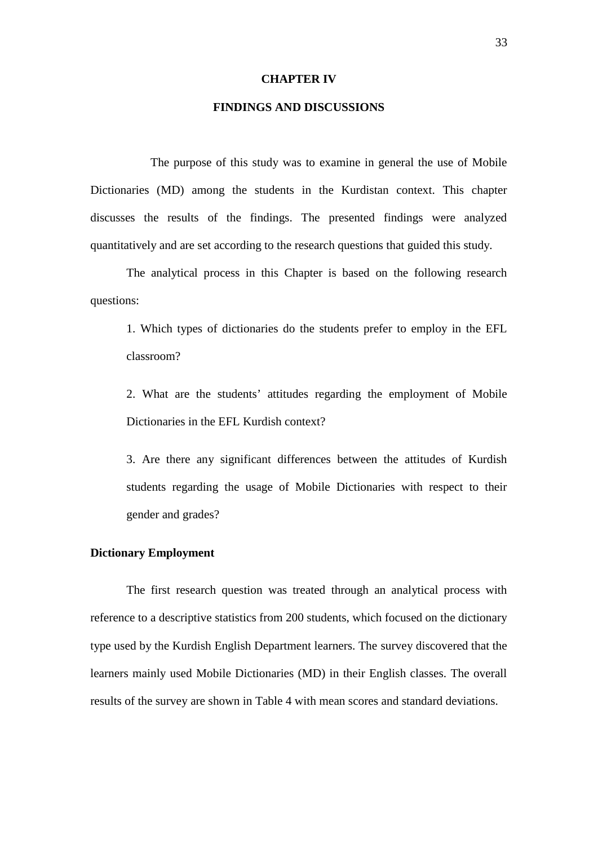#### **CHAPTER IV**

## **FINDINGS AND DISCUSSIONS**

The purpose of this study was to examine in general the use of Mobile Dictionaries (MD) among the students in the Kurdistan context. This chapter discusses the results of the findings. The presented findings were analyzed quantitatively and are set according to the research questions that guided this study.

The analytical process in this Chapter is based on the following research questions:

1. Which types of dictionaries do the students prefer to employ in the EFL classroom?

2. What are the students' attitudes regarding the employment of Mobile Dictionaries in the EFL Kurdish context?

3. Are there any significant differences between the attitudes of Kurdish students regarding the usage of Mobile Dictionaries with respect to their gender and grades?

#### **Dictionary Employment**

The first research question was treated through an analytical process with reference to a descriptive statistics from 200 students, which focused on the dictionary type used by the Kurdish English Department learners. The survey discovered that the learners mainly used Mobile Dictionaries (MD) in their English classes. The overall results of the survey are shown in Table 4 with mean scores and standard deviations.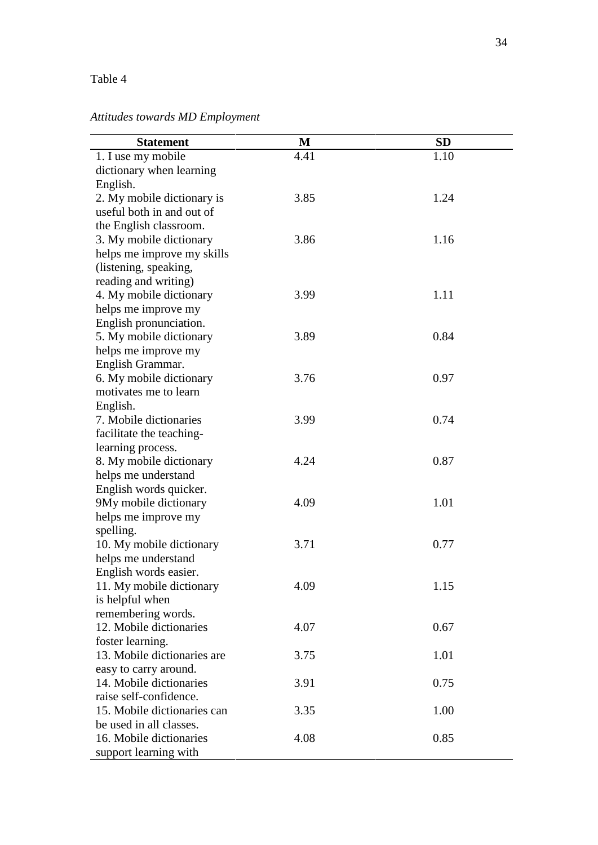# Table 4

# *Attitudes towards MD Employment*

| <b>Statement</b>            | M    | <b>SD</b> |
|-----------------------------|------|-----------|
| 1. I use my mobile          | 4.41 | 1.10      |
| dictionary when learning    |      |           |
| English.                    |      |           |
| 2. My mobile dictionary is  | 3.85 | 1.24      |
| useful both in and out of   |      |           |
| the English classroom.      |      |           |
| 3. My mobile dictionary     | 3.86 | 1.16      |
| helps me improve my skills  |      |           |
| (listening, speaking,       |      |           |
| reading and writing)        |      |           |
| 4. My mobile dictionary     | 3.99 | 1.11      |
| helps me improve my         |      |           |
| English pronunciation.      |      |           |
| 5. My mobile dictionary     | 3.89 | 0.84      |
| helps me improve my         |      |           |
| English Grammar.            |      |           |
| 6. My mobile dictionary     | 3.76 | 0.97      |
| motivates me to learn       |      |           |
| English.                    |      |           |
| 7. Mobile dictionaries      | 3.99 | 0.74      |
| facilitate the teaching-    |      |           |
| learning process.           |      |           |
| 8. My mobile dictionary     | 4.24 | 0.87      |
| helps me understand         |      |           |
| English words quicker.      |      |           |
| 9My mobile dictionary       | 4.09 | 1.01      |
| helps me improve my         |      |           |
| spelling.                   |      |           |
| 10. My mobile dictionary    | 3.71 | 0.77      |
| helps me understand         |      |           |
| English words easier.       |      |           |
| 11. My mobile dictionary    | 4.09 | 1.15      |
| is helpful when             |      |           |
| remembering words.          |      |           |
| 12. Mobile dictionaries     | 4.07 | 0.67      |
| foster learning.            |      |           |
| 13. Mobile dictionaries are | 3.75 | 1.01      |
| easy to carry around.       |      |           |
| 14. Mobile dictionaries     | 3.91 | 0.75      |
| raise self-confidence.      |      |           |
| 15. Mobile dictionaries can | 3.35 | 1.00      |
| be used in all classes.     |      |           |
| 16. Mobile dictionaries     | 4.08 | 0.85      |
| support learning with       |      |           |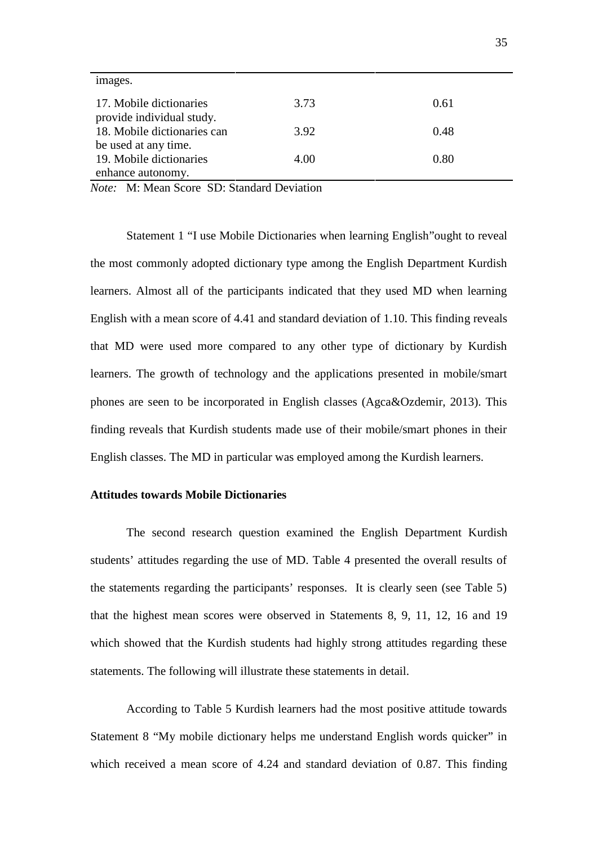| images.                                              |      |      |
|------------------------------------------------------|------|------|
| 17. Mobile dictionaries<br>provide individual study. | 3.73 | 0.61 |
| 18. Mobile dictionaries can                          | 3.92 | 0.48 |
| be used at any time.                                 |      |      |
| 19. Mobile dictionaries                              | 4.00 | 0.80 |
| enhance autonomy.                                    |      |      |

*Note:* M: Mean Score SD: Standard Deviation

Statement 1 "I use Mobile Dictionaries when learning English"ought to reveal the most commonly adopted dictionary type among the English Department Kurdish learners. Almost all of the participants indicated that they used MD when learning English with a mean score of 4.41 and standard deviation of 1.10. This finding reveals that MD were used more compared to any other type of dictionary by Kurdish learners. The growth of technology and the applications presented in mobile/smart phones are seen to be incorporated in English classes (Agca&Ozdemir, 2013). This finding reveals that Kurdish students made use of their mobile/smart phones in their English classes. The MD in particular was employed among the Kurdish learners.

#### **Attitudes towards Mobile Dictionaries**

The second research question examined the English Department Kurdish students' attitudes regarding the use of MD. Table 4 presented the overall results of the statements regarding the participants' responses. It is clearly seen (see Table 5) that the highest mean scores were observed in Statements 8, 9, 11, 12, 16 and 19 which showed that the Kurdish students had highly strong attitudes regarding these statements. The following will illustrate these statements in detail.

According to Table 5 Kurdish learners had the most positive attitude towards Statement 8 "My mobile dictionary helps me understand English words quicker" in which received a mean score of 4.24 and standard deviation of 0.87. This finding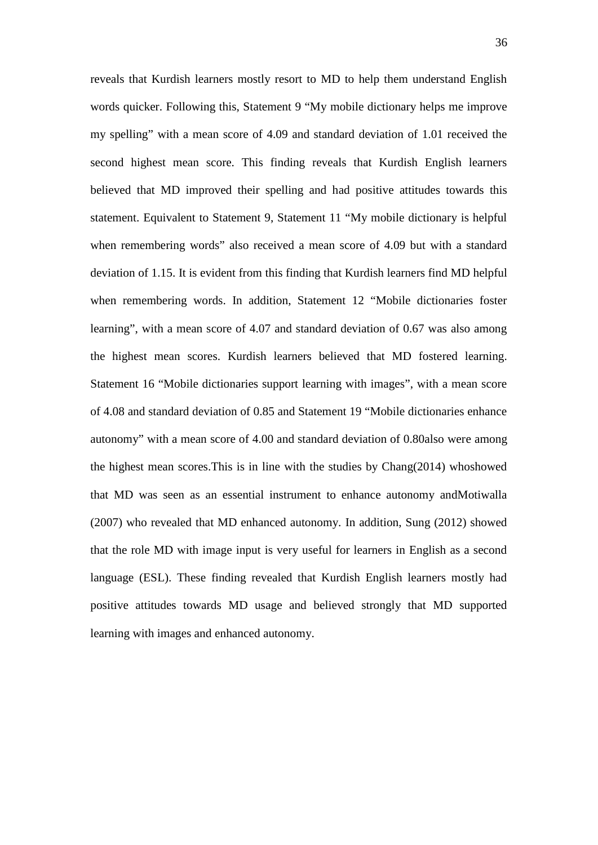reveals that Kurdish learners mostly resort to MD to help them understand English words quicker. Following this, Statement 9 "My mobile dictionary helps me improve my spelling" with a mean score of 4.09 and standard deviation of 1.01 received the second highest mean score. This finding reveals that Kurdish English learners believed that MD improved their spelling and had positive attitudes towards this statement. Equivalent to Statement 9, Statement 11 "My mobile dictionary is helpful when remembering words" also received a mean score of 4.09 but with a standard deviation of 1.15. It is evident from this finding that Kurdish learners find MD helpful when remembering words. In addition, Statement 12 "Mobile dictionaries foster learning", with a mean score of 4.07 and standard deviation of 0.67 was also among the highest mean scores. Kurdish learners believed that MD fostered learning. Statement 16 "Mobile dictionaries support learning with images", with a mean score of 4.08 and standard deviation of 0.85 and Statement 19 "Mobile dictionaries enhance autonomy" with a mean score of 4.00 and standard deviation of 0.80also were among the highest mean scores.This is in line with the studies by Chang(2014) whoshowed that MD was seen as an essential instrument to enhance autonomy andMotiwalla (2007) who revealed that MD enhanced autonomy. In addition, Sung (2012) showed that the role MD with image input is very useful for learners in English as a second language (ESL). These finding revealed that Kurdish English learners mostly had positive attitudes towards MD usage and believed strongly that MD supported learning with images and enhanced autonomy.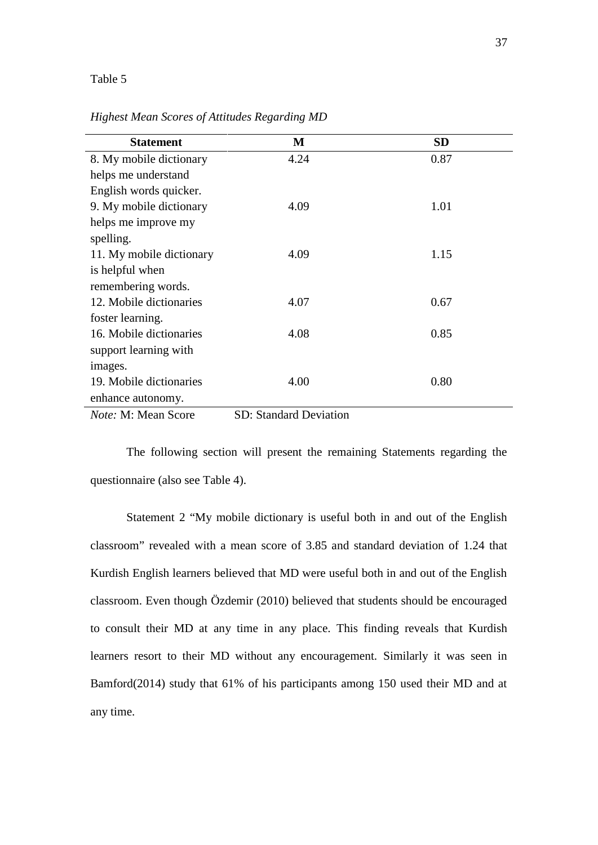#### Table 5

| <b>Statement</b>           | M                             | <b>SD</b> |
|----------------------------|-------------------------------|-----------|
| 8. My mobile dictionary    | 4.24                          | 0.87      |
| helps me understand        |                               |           |
| English words quicker.     |                               |           |
| 9. My mobile dictionary    | 4.09                          | 1.01      |
| helps me improve my        |                               |           |
| spelling.                  |                               |           |
| 11. My mobile dictionary   | 4.09                          | 1.15      |
| is helpful when            |                               |           |
| remembering words.         |                               |           |
| 12. Mobile dictionaries    | 4.07                          | 0.67      |
| foster learning.           |                               |           |
| 16. Mobile dictionaries    | 4.08                          | 0.85      |
| support learning with      |                               |           |
| images.                    |                               |           |
| 19. Mobile dictionaries    | 4.00                          | 0.80      |
| enhance autonomy.          |                               |           |
| <i>Note:</i> M: Mean Score | <b>SD: Standard Deviation</b> |           |

*Highest Mean Scores of Attitudes Regarding MD*

The following section will present the remaining Statements regarding the questionnaire (also see Table 4).

Statement 2 "My mobile dictionary is useful both in and out of the English classroom" revealed with a mean score of 3.85 and standard deviation of 1.24 that Kurdish English learners believed that MD were useful both in and out of the English classroom. Even though Özdemir (2010) believed that students should be encouraged to consult their MD at any time in any place. This finding reveals that Kurdish learners resort to their MD without any encouragement. Similarly it was seen in Bamford(2014) study that 61% of his participants among 150 used their MD and at any time.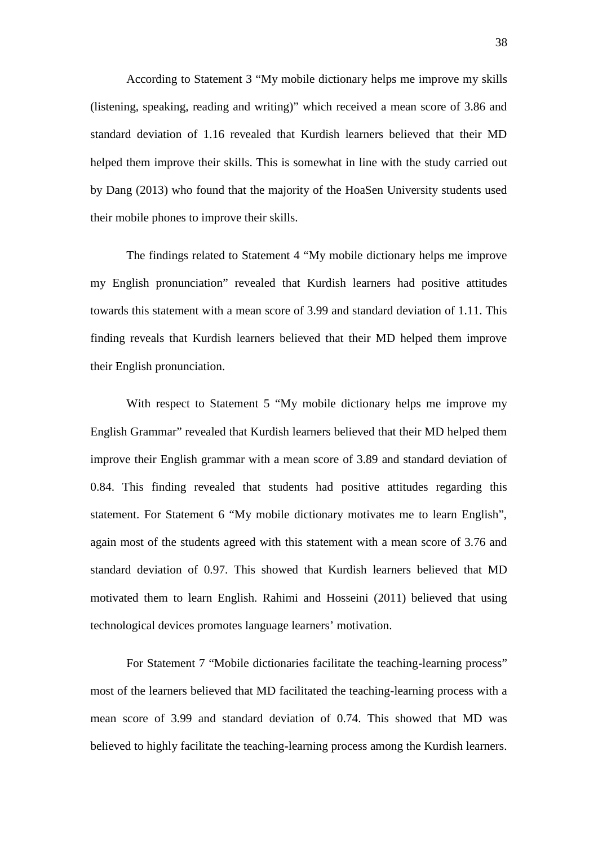According to Statement 3 "My mobile dictionary helps me improve my skills (listening, speaking, reading and writing)" which received a mean score of 3.86 and standard deviation of 1.16 revealed that Kurdish learners believed that their MD helped them improve their skills. This is somewhat in line with the study carried out by Dang (2013) who found that the majority of the HoaSen University students used their mobile phones to improve their skills.

The findings related to Statement 4 "My mobile dictionary helps me improve my English pronunciation" revealed that Kurdish learners had positive attitudes towards this statement with a mean score of 3.99 and standard deviation of 1.11. This finding reveals that Kurdish learners believed that their MD helped them improve their English pronunciation.

With respect to Statement 5 "My mobile dictionary helps me improve my English Grammar" revealed that Kurdish learners believed that their MD helped them improve their English grammar with a mean score of 3.89 and standard deviation of 0.84. This finding revealed that students had positive attitudes regarding this statement. For Statement 6 "My mobile dictionary motivates me to learn English", again most of the students agreed with this statement with a mean score of 3.76 and standard deviation of 0.97. This showed that Kurdish learners believed that MD motivated them to learn English. Rahimi and Hosseini (2011) believed that using technological devices promotes language learners' motivation.

For Statement 7 "Mobile dictionaries facilitate the teaching-learning process" most of the learners believed that MD facilitated the teaching-learning process with a mean score of 3.99 and standard deviation of 0.74. This showed that MD was believed to highly facilitate the teaching-learning process among the Kurdish learners.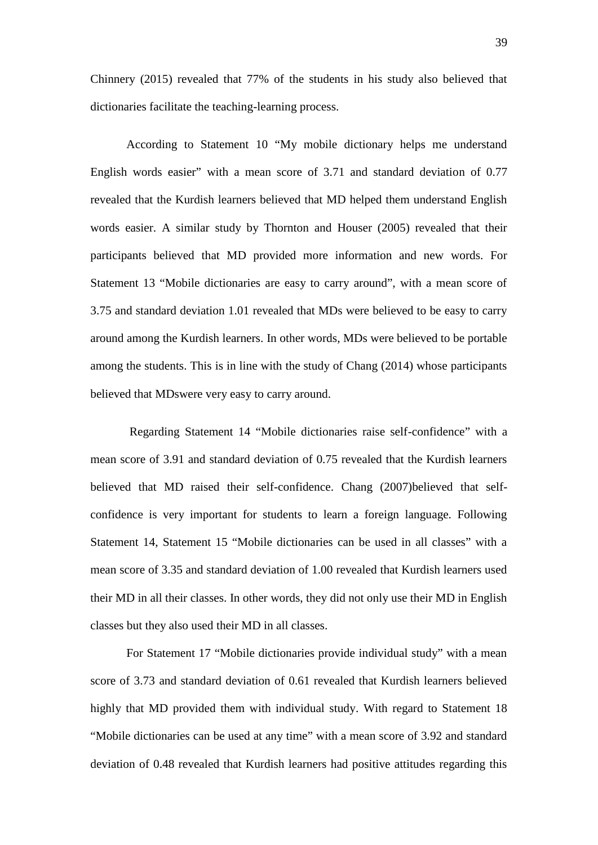Chinnery (2015) revealed that 77% of the students in his study also believed that dictionaries facilitate the teaching-learning process.

According to Statement 10 "My mobile dictionary helps me understand English words easier" with a mean score of 3.71 and standard deviation of 0.77 revealed that the Kurdish learners believed that MD helped them understand English words easier. A similar study by Thornton and Houser (2005) revealed that their participants believed that MD provided more information and new words. For Statement 13 "Mobile dictionaries are easy to carry around", with a mean score of 3.75 and standard deviation 1.01 revealed that MDs were believed to be easy to carry around among the Kurdish learners. In other words, MDs were believed to be portable among the students. This is in line with the study of Chang (2014) whose participants believed that MDswere very easy to carry around.

Regarding Statement 14 "Mobile dictionaries raise self-confidence" with a mean score of 3.91 and standard deviation of 0.75 revealed that the Kurdish learners believed that MD raised their self-confidence. Chang (2007)believed that self confidence is very important for students to learn a foreign language. Following Statement 14, Statement 15 "Mobile dictionaries can be used in all classes" with a mean score of 3.35 and standard deviation of 1.00 revealed that Kurdish learners used their MD in all their classes. In other words, they did not only use their MD in English classes but they also used their MD in all classes.

For Statement 17 "Mobile dictionaries provide individual study" with a mean score of 3.73 and standard deviation of 0.61 revealed that Kurdish learners believed highly that MD provided them with individual study. With regard to Statement 18 "Mobile dictionaries can be used at any time" with a mean score of 3.92 and standard deviation of 0.48 revealed that Kurdish learners had positive attitudes regarding this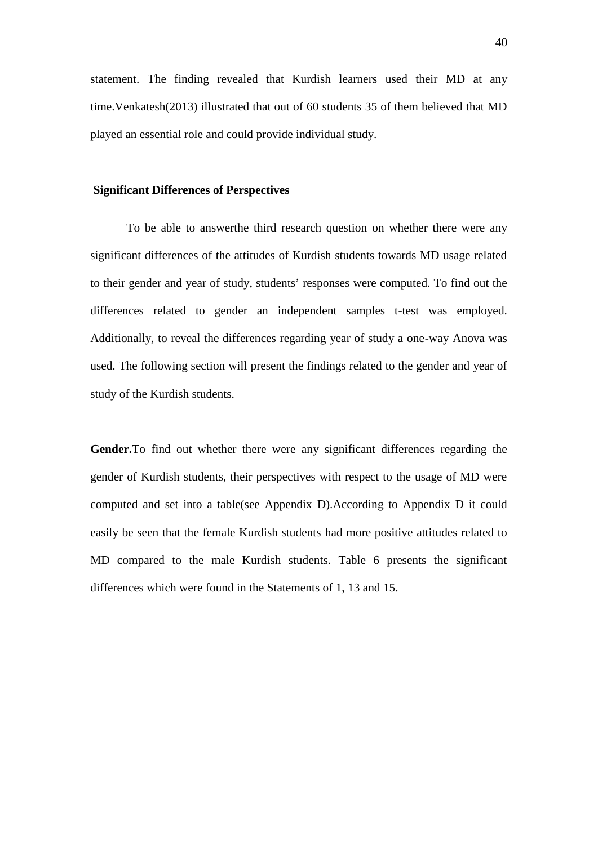statement. The finding revealed that Kurdish learners used their MD at any time.Venkatesh(2013) illustrated that out of 60 students 35 of them believed that MD played an essential role and could provide individual study.

#### **Significant Differences of Perspectives**

To be able to answerthe third research question on whether there were any significant differences of the attitudes of Kurdish students towards MD usage related to their gender and year of study, students' responses were computed. To find out the differences related to gender an independent samples t-test was employed. Additionally, to reveal the differences regarding year of study a one-way Anova was used. The following section will present the findings related to the gender and year of study of the Kurdish students.

**Gender.**To find out whether there were any significant differences regarding the gender of Kurdish students, their perspectives with respect to the usage of MD were computed and set into a table(see Appendix D).According to Appendix D it could easily be seen that the female Kurdish students had more positive attitudes related to MD compared to the male Kurdish students. Table 6 presents the significant differences which were found in the Statements of 1, 13 and 15.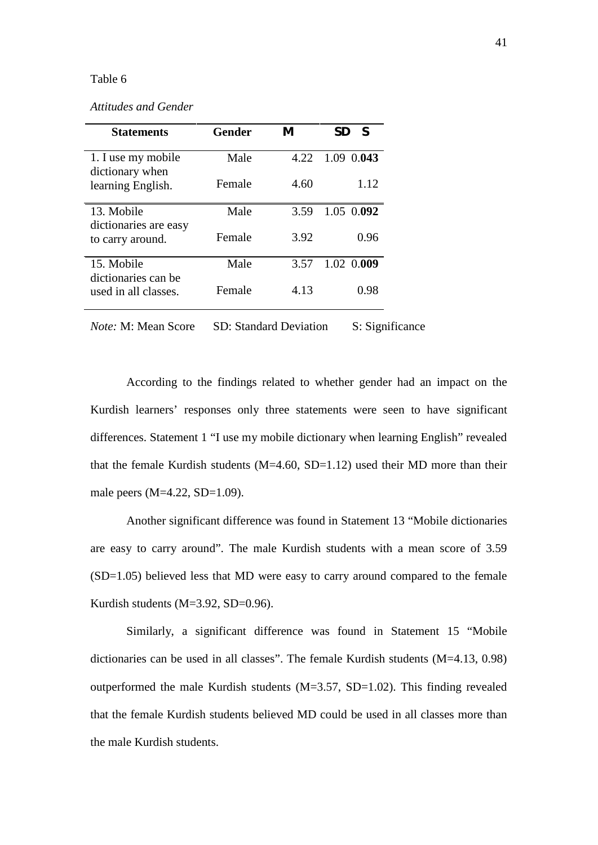#### Table 6

*Attitudes and Gender*

| <b>Statements</b>                     | Gender | M    | S<br>SD    |
|---------------------------------------|--------|------|------------|
| 1. I use my mobile<br>dictionary when | Male   | 4.22 | 1.09 0.043 |
| learning English.                     | Female | 4.60 | 1.12       |
| 13. Mobile<br>dictionaries are easy   | Male   | 3.59 | 1.05 0.092 |
| to carry around.                      | Female | 3.92 | 0.96       |
| 15. Mobile<br>dictionaries can be     | Male   | 3.57 | 1.02 0.009 |
| used in all classes.                  | Female | 4.13 | 0.98       |

*Note:* M: Mean Score SD: Standard Deviation S: Significance

According to the findings related to whether gender had an impact on the Kurdish learners' responses only three statements were seen to have significant differences. Statement 1 "I use my mobile dictionary when learning English" revealed that the female Kurdish students  $(M=4.60, SD=1.12)$  used their MD more than their male peers (M=4.22, SD=1.09).

Another significant difference was found in Statement 13 "Mobile dictionaries are easy to carry around". The male Kurdish students with a mean score of 3.59 (SD=1.05) believed less that MD were easy to carry around compared to the female Kurdish students (M=3.92, SD=0.96).

Similarly, a significant difference was found in Statement 15 "Mobile dictionaries can be used in all classes". The female Kurdish students (M=4.13, 0.98) outperformed the male Kurdish students (M=3.57, SD=1.02). This finding revealed that the female Kurdish students believed MD could be used in all classes more than the male Kurdish students.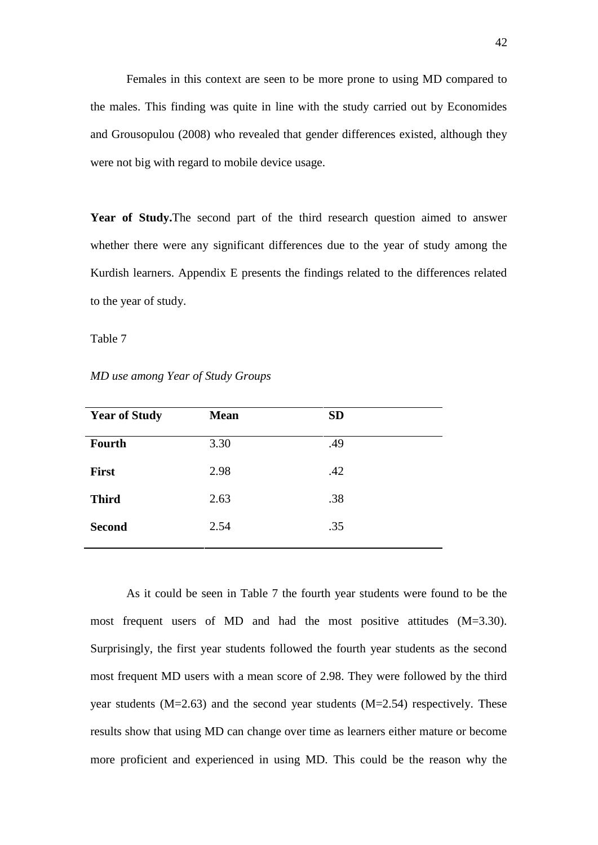Females in this context are seen to be more prone to using MD compared to the males. This finding was quite in line with the study carried out by Economides and Grousopulou (2008) who revealed that gender differences existed, although they were not big with regard to mobile device usage.

**Year of Study.**The second part of the third research question aimed to answer whether there were any significant differences due to the year of study among the Kurdish learners. Appendix E presents the findings related to the differences related to the year of study.

Table 7

*MD use among Year of Study Groups*

| <b>Year of Study</b> | <b>Mean</b> | <b>SD</b> |  |
|----------------------|-------------|-----------|--|
| <b>Fourth</b>        | 3.30        | .49       |  |
| <b>First</b>         | 2.98        | .42       |  |
| <b>Third</b>         | 2.63        | .38       |  |
| <b>Second</b>        | 2.54        | .35       |  |
|                      |             |           |  |

As it could be seen in Table 7 the fourth year students were found to be the most frequent users of MD and had the most positive attitudes (M=3.30). Surprisingly, the first year students followed the fourth year students as the second most frequent MD users with a mean score of 2.98. They were followed by the third year students (M=2.63) and the second year students (M=2.54) respectively. These results show that using MD can change over time as learners either mature or become more proficient and experienced in using MD. This could be the reason why the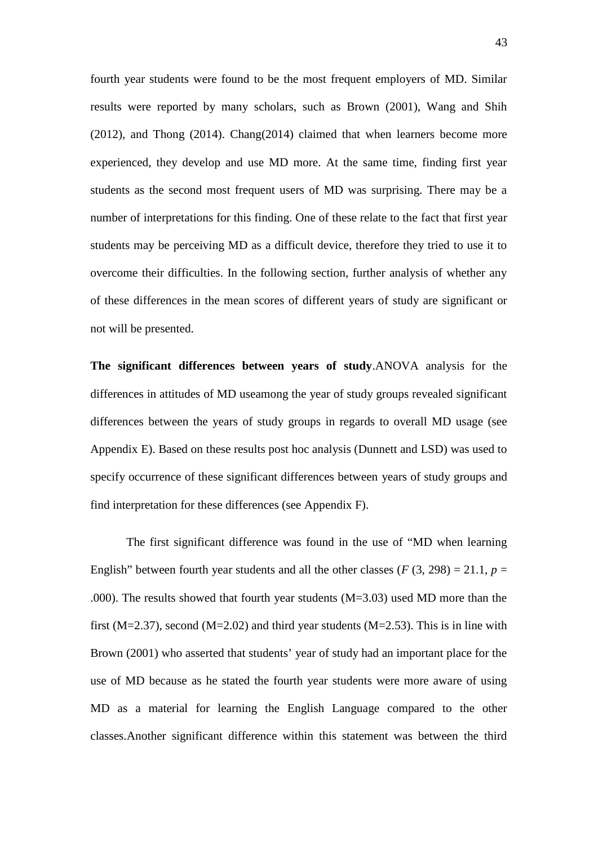fourth year students were found to be the most frequent employers of MD. Similar results were reported by many scholars, such as Brown (2001), Wang and Shih (2012), and Thong (2014). Chang(2014) claimed that when learners become more experienced, they develop and use MD more. At the same time, finding first year students as the second most frequent users of MD was surprising. There may be a number of interpretations for this finding. One of these relate to the fact that first year students may be perceiving MD as a difficult device, therefore they tried to use it to overcome their difficulties. In the following section, further analysis of whether any of these differences in the mean scores of different years of study are significant or not will be presented.

**The significant differences between years of study**.ANOVA analysis for the differences in attitudes of MD useamong the year of study groups revealed significant differences between the years of study groups in regards to overall MD usage (see Appendix E). Based on these results post hoc analysis (Dunnett and LSD) was used to specify occurrence of these significant differences between years of study groups and find interpretation for these differences (see Appendix F).

The first significant difference was found in the use of "MD when learning English" between fourth year students and all the other classes ( $F(3, 298) = 21.1$ ,  $p =$ .000). The results showed that fourth year students (M=3.03) used MD more than the first ( $M=2.37$ ), second ( $M=2.02$ ) and third year students ( $M=2.53$ ). This is in line with Brown (2001) who asserted that students' year of study had an important place for the use of MD because as he stated the fourth year students were more aware of using MD as a material for learning the English Language compared to the other classes.Another significant difference within this statement was between the third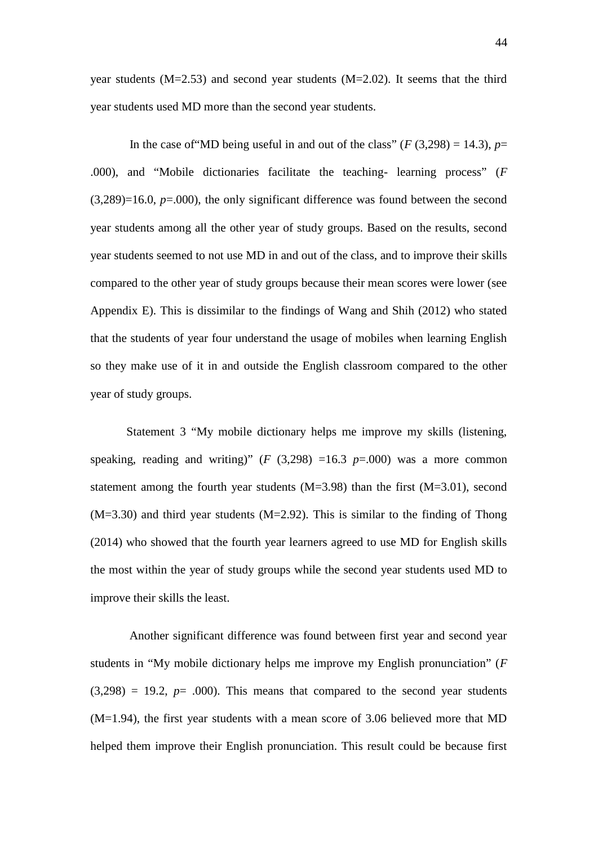year students (M=2.53) and second year students (M=2.02). It seems that the third year students used MD more than the second year students.

In the case of "MD being useful in and out of the class" ( $F(3,298) = 14.3$ ),  $p=$ .000), and "Mobile dictionaries facilitate the teaching- learning process" (*F*  $(3,289)=16.0$ ,  $p=.000$ , the only significant difference was found between the second year students among all the other year of study groups. Based on the results, second year students seemed to not use MD in and out of the class, and to improve their skills compared to the other year of study groups because their mean scores were lower (see Appendix E). This is dissimilar to the findings of Wang and Shih (2012) who stated that the students of year four understand the usage of mobiles when learning English so they make use of it in and outside the English classroom compared to the other year of study groups.

Statement 3 "My mobile dictionary helps me improve my skills (listening, speaking, reading and writing)"  $(F (3,298) = 16.3 p = .000)$  was a more common statement among the fourth year students  $(M=3.98)$  than the first  $(M=3.01)$ , second (M=3.30) and third year students (M=2.92). This is similar to the finding of Thong (2014) who showed that the fourth year learners agreed to use MD for English skills the most within the year of study groups while the second year students used MD to improve their skills the least.

Another significant difference was found between first year and second year students in "My mobile dictionary helps me improve my English pronunciation" (*F*  $(3,298) = 19.2$ ,  $p = .000$ ). This means that compared to the second year students (M=1.94), the first year students with a mean score of 3.06 believed more that MD helped them improve their English pronunciation. This result could be because first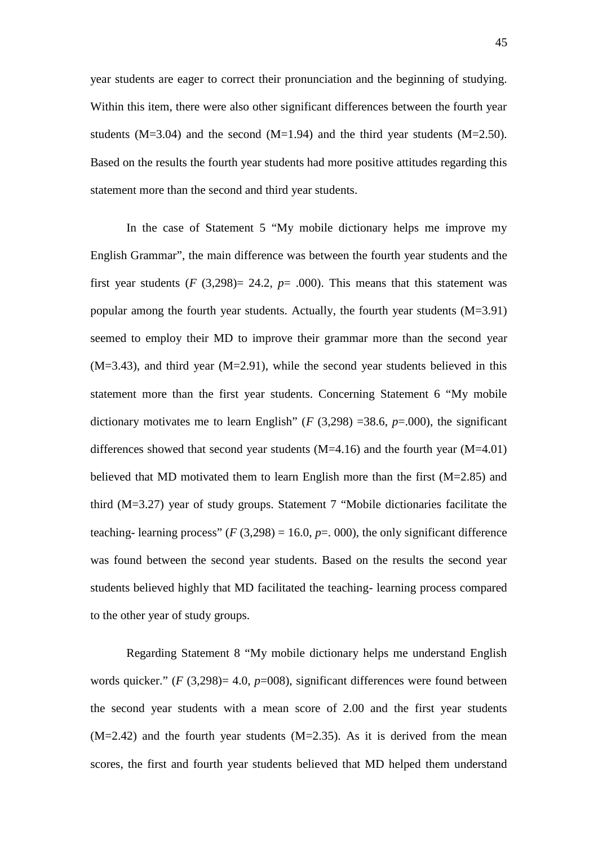year students are eager to correct their pronunciation and the beginning of studying. Within this item, there were also other significant differences between the fourth year students  $(M=3.04)$  and the second  $(M=1.94)$  and the third year students  $(M=2.50)$ . Based on the results the fourth year students had more positive attitudes regarding this statement more than the second and third year students.

In the case of Statement 5 "My mobile dictionary helps me improve my English Grammar", the main difference was between the fourth year students and the first year students  $(F (3,298) = 24.2, p = .000)$ . This means that this statement was popular among the fourth year students. Actually, the fourth year students (M=3.91) seemed to employ their MD to improve their grammar more than the second year  $(M=3.43)$ , and third year  $(M=2.91)$ , while the second year students believed in this statement more than the first year students. Concerning Statement 6 "My mobile dictionary motivates me to learn English" ( $F$  (3,298) =38.6,  $p$ =.000), the significant differences showed that second year students  $(M=4.16)$  and the fourth year  $(M=4.01)$ believed that MD motivated them to learn English more than the first (M=2.85) and third (M=3.27) year of study groups. Statement 7 "Mobile dictionaries facilitate the teaching- learning process"  $(F(3,298) = 16.0, p = .000)$ , the only significant difference was found between the second year students. Based on the results the second year students believed highly that MD facilitated the teaching- learning process compared to the other year of study groups.

Regarding Statement 8 "My mobile dictionary helps me understand English words quicker." (*F* (3,298)= 4.0, *p*=008), significant differences were found between the second year students with a mean score of 2.00 and the first year students  $(M=2.42)$  and the fourth year students  $(M=2.35)$ . As it is derived from the mean scores, the first and fourth year students believed that MD helped them understand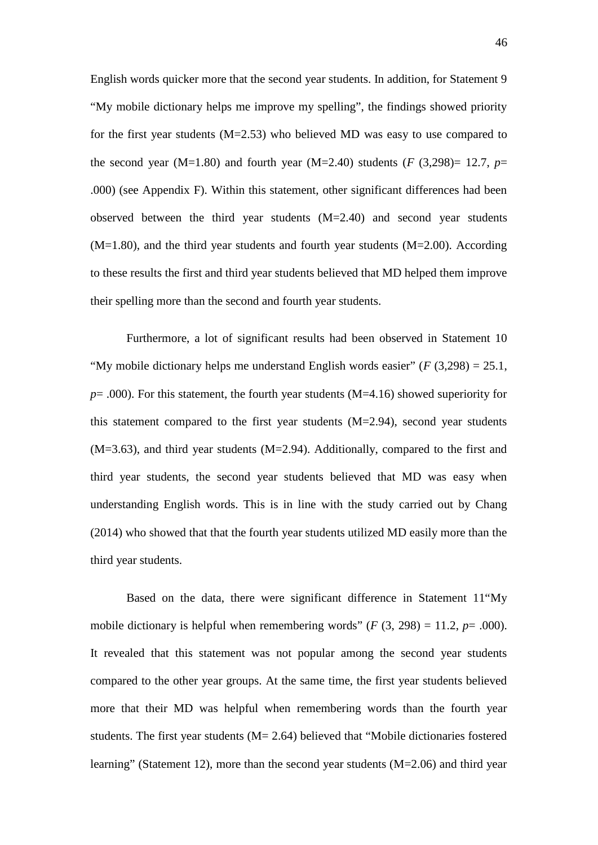English words quicker more that the second year students. In addition, for Statement 9 "My mobile dictionary helps me improve my spelling", the findings showed priority for the first year students  $(M=2.53)$  who believed MD was easy to use compared to the second year (M=1.80) and fourth year (M=2.40) students ( $F(3,298)=12.7$ ,  $p=$ .000) (see Appendix F). Within this statement, other significant differences had been observed between the third year students (M=2.40) and second year students (M=1.80), and the third year students and fourth year students (M=2.00). According to these results the first and third year students believed that MD helped them improve their spelling more than the second and fourth year students.

Furthermore, a lot of significant results had been observed in Statement 10 "My mobile dictionary helps me understand English words easier" (*F* (3,298) = 25.1, *p*= .000). For this statement, the fourth year students (M=4.16) showed superiority for this statement compared to the first year students (M=2.94), second year students (M=3.63), and third year students (M=2.94). Additionally, compared to the first and third year students, the second year students believed that MD was easy when understanding English words. This is in line with the study carried out by Chang (2014) who showed that that the fourth year students utilized MD easily more than the third year students.

Based on the data, there were significant difference in Statement 11"My mobile dictionary is helpful when remembering words" ( $F(3, 298) = 11.2$ ,  $p = .000$ ). It revealed that this statement was not popular among the second year students compared to the other year groups. At the same time, the first year students believed more that their MD was helpful when remembering words than the fourth year students. The first year students (M= 2.64) believed that "Mobile dictionaries fostered learning" (Statement 12), more than the second year students (M=2.06) and third year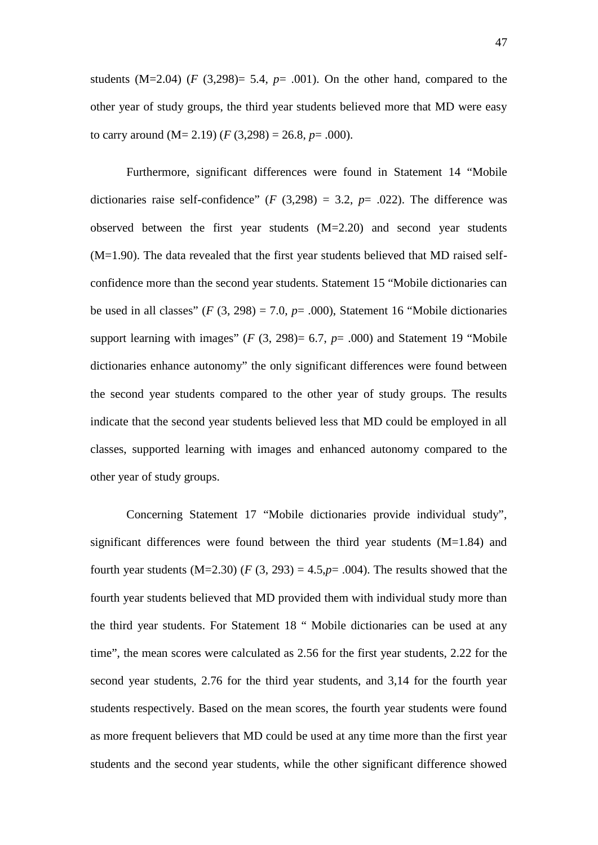students  $(M=2.04)$  (*F* (3,298) = 5.4, *p* = .001). On the other hand, compared to the other year of study groups, the third year students believed more that MD were easy to carry around  $(M= 2.19)$   $(F (3,298) = 26.8, p = .000)$ .

Furthermore, significant differences were found in Statement 14 "Mobile dictionaries raise self-confidence"  $(F (3,298) = 3.2, p = .022)$ . The difference was observed between the first year students (M=2.20) and second year students (M=1.90). The data revealed that the first year students believed that MD raised self confidence more than the second year students. Statement 15 "Mobile dictionaries can be used in all classes"  $(F(3, 298) = 7.0, p = .000)$ , Statement 16 "Mobile dictionaries" support learning with images"  $(F(3, 298)= 6.7, p= .000)$  and Statement 19 "Mobile" dictionaries enhance autonomy" the only significant differences were found between the second year students compared to the other year of study groups. The results indicate that the second year students believed less that MD could be employed in all classes, supported learning with images and enhanced autonomy compared to the other year of study groups.

Concerning Statement 17 "Mobile dictionaries provide individual study", significant differences were found between the third year students  $(M=1.84)$  and fourth year students  $(M=2.30)$   $(F(3, 293) = 4.5, p = .004)$ . The results showed that the fourth year students believed that MD provided them with individual study more than the third year students. For Statement 18 " Mobile dictionaries can be used at any time", the mean scores were calculated as 2.56 for the first year students, 2.22 for the second year students, 2.76 for the third year students, and 3,14 for the fourth year students respectively. Based on the mean scores, the fourth year students were found as more frequent believers that MD could be used at any time more than the first year students and the second year students, while the other significant difference showed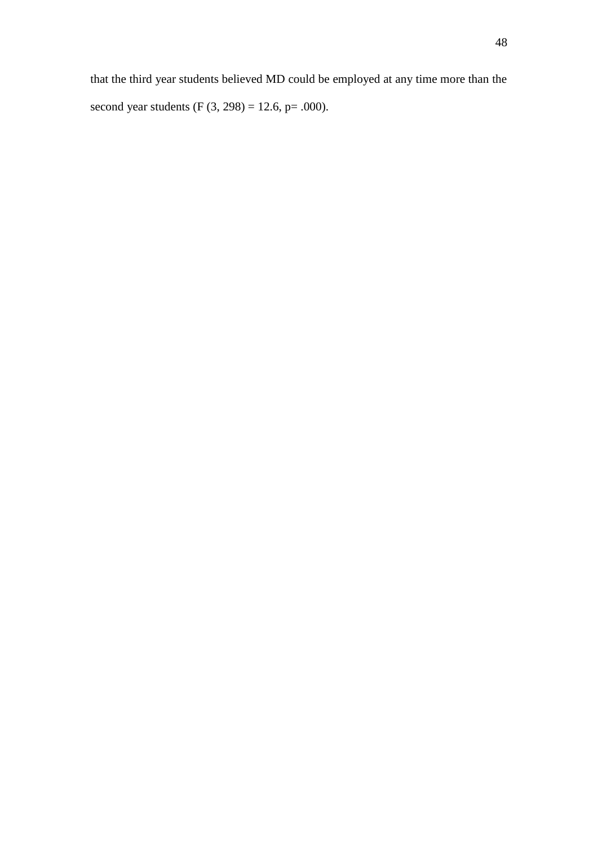that the third year students believed MD could be employed at any time more than the second year students (F  $(3, 298) = 12.6$ , p= .000).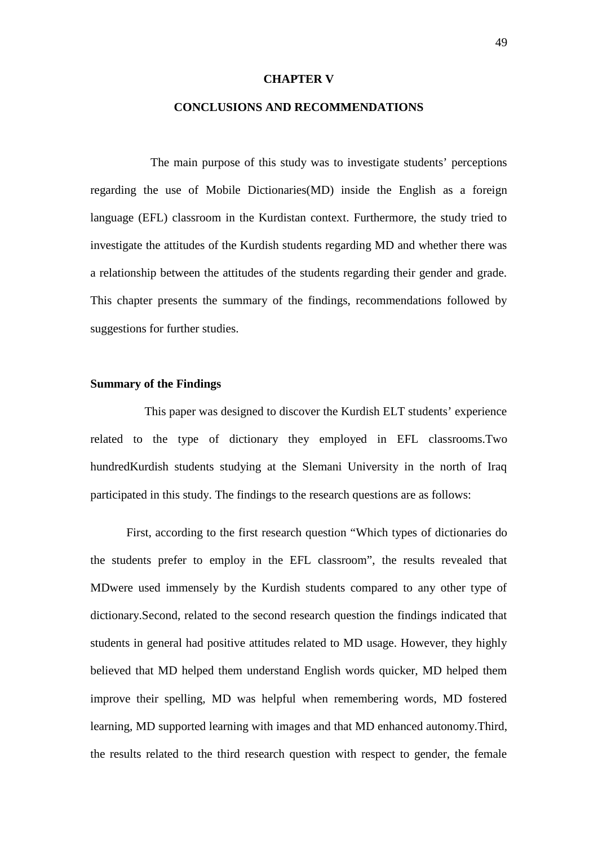#### **CHAPTER V**

#### **CONCLUSIONS AND RECOMMENDATIONS**

The main purpose of this study was to investigate students' perceptions regarding the use of Mobile Dictionaries(MD) inside the English as a foreign language (EFL) classroom in the Kurdistan context. Furthermore, the study tried to investigate the attitudes of the Kurdish students regarding MD and whether there was a relationship between the attitudes of the students regarding their gender and grade. This chapter presents the summary of the findings, recommendations followed by suggestions for further studies.

#### **Summary of the Findings**

This paper was designed to discover the Kurdish ELT students' experience related to the type of dictionary they employed in EFL classrooms.Two hundredKurdish students studying at the Slemani University in the north of Iraq participated in this study. The findings to the research questions are as follows:

First, according to the first research question "Which types of dictionaries do the students prefer to employ in the EFL classroom", the results revealed that MDwere used immensely by the Kurdish students compared to any other type of dictionary.Second, related to the second research question the findings indicated that students in general had positive attitudes related to MD usage. However, they highly believed that MD helped them understand English words quicker, MD helped them improve their spelling, MD was helpful when remembering words, MD fostered learning, MD supported learning with images and that MD enhanced autonomy.Third, the results related to the third research question with respect to gender, the female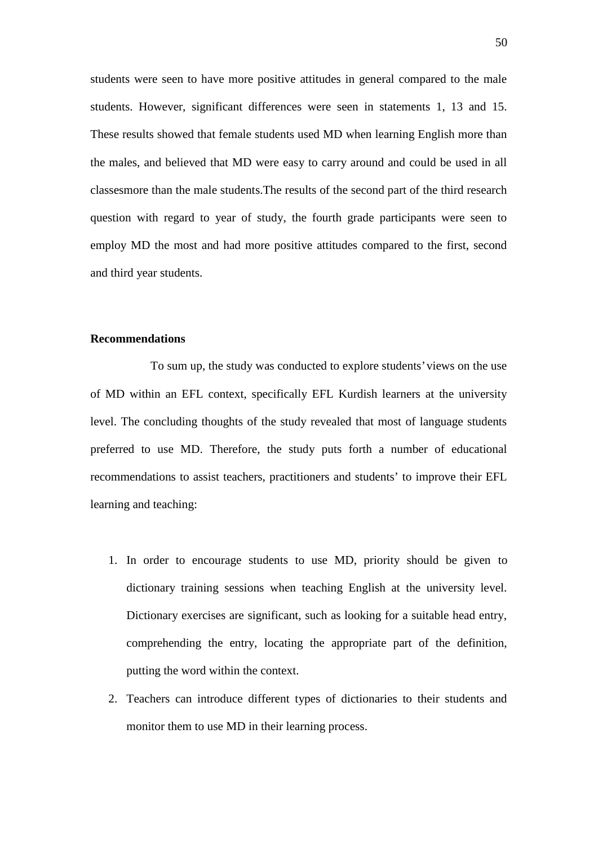students were seen to have more positive attitudes in general compared to the male students. However, significant differences were seen in statements 1, 13 and 15. These results showed that female students used MD when learning English more than the males, and believed that MD were easy to carry around and could be used in all classesmore than the male students.The results of the second part of the third research question with regard to year of study, the fourth grade participants were seen to employ MD the most and had more positive attitudes compared to the first, second and third year students.

#### **Recommendations**

To sum up, the study was conducted to explore students' views on the use of MD within an EFL context, specifically EFL Kurdish learners at the university level. The concluding thoughts of the study revealed that most of language students preferred to use MD. Therefore, the study puts forth a number of educational recommendations to assist teachers, practitioners and students' to improve their EFL learning and teaching:

- 1. In order to encourage students to use MD, priority should be given to dictionary training sessions when teaching English at the university level. Dictionary exercises are significant, such as looking for a suitable head entry, comprehending the entry, locating the appropriate part of the definition, putting the word within the context.
- 2. Teachers can introduce different types of dictionaries to their students and monitor them to use MD in their learning process.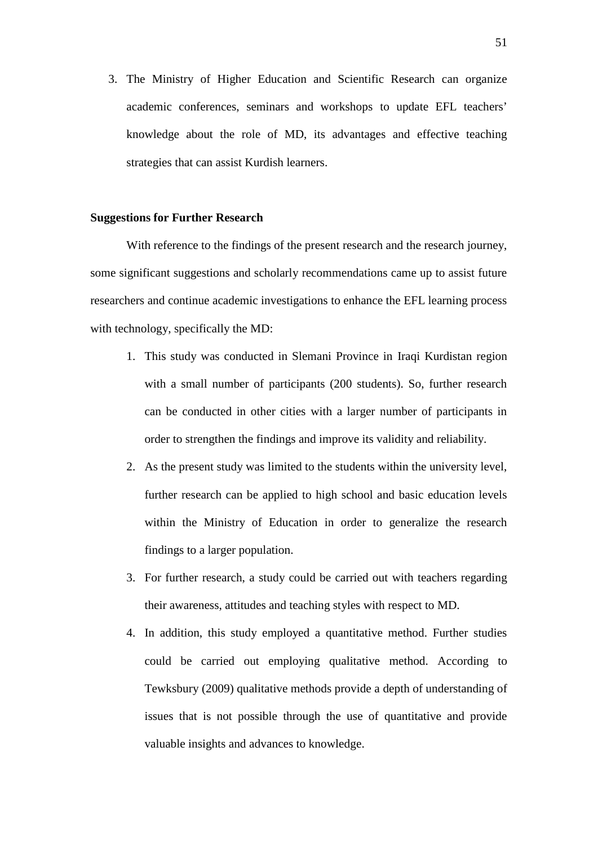3. The Ministry of Higher Education and Scientific Research can organize academic conferences, seminars and workshops to update EFL teachers' knowledge about the role of MD, its advantages and effective teaching strategies that can assist Kurdish learners.

#### **Suggestions for Further Research**

With reference to the findings of the present research and the research journey, some significant suggestions and scholarly recommendations came up to assist future researchers and continue academic investigations to enhance the EFL learning process with technology, specifically the MD:

- 1. This study was conducted in Slemani Province in Iraqi Kurdistan region with a small number of participants (200 students). So, further research can be conducted in other cities with a larger number of participants in order to strengthen the findings and improve its validity and reliability.
- 2. As the present study was limited to the students within the university level, further research can be applied to high school and basic education levels within the Ministry of Education in order to generalize the research findings to a larger population.
- 3. For further research, a study could be carried out with teachers regarding their awareness, attitudes and teaching styles with respect to MD.
- 4. In addition, this study employed a quantitative method. Further studies could be carried out employing qualitative method. According to Tewksbury (2009) qualitative methods provide a depth of understanding of issues that is not possible through the use of quantitative and provide valuable insights and advances to knowledge.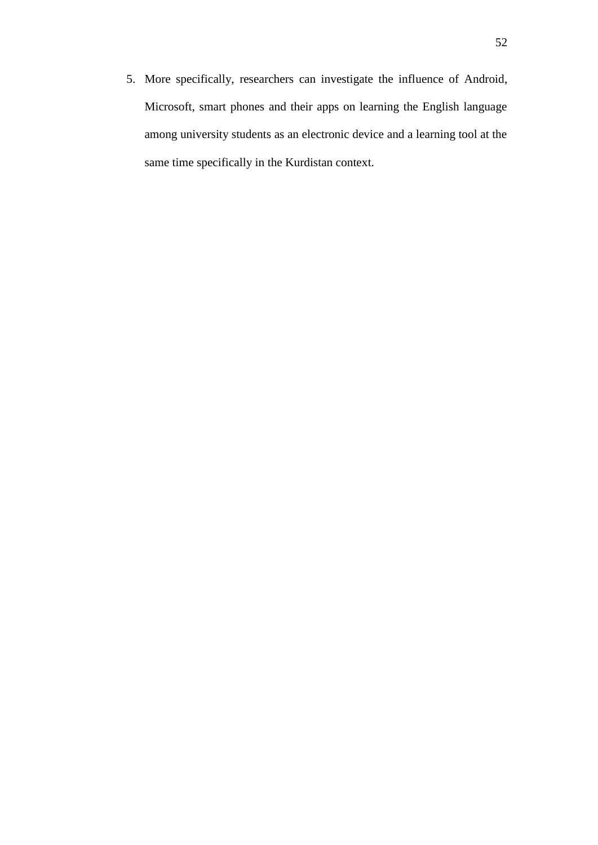5. More specifically, researchers can investigate the influence of Android, Microsoft, smart phones and their apps on learning the English language among university students as an electronic device and a learning tool at the same time specifically in the Kurdistan context.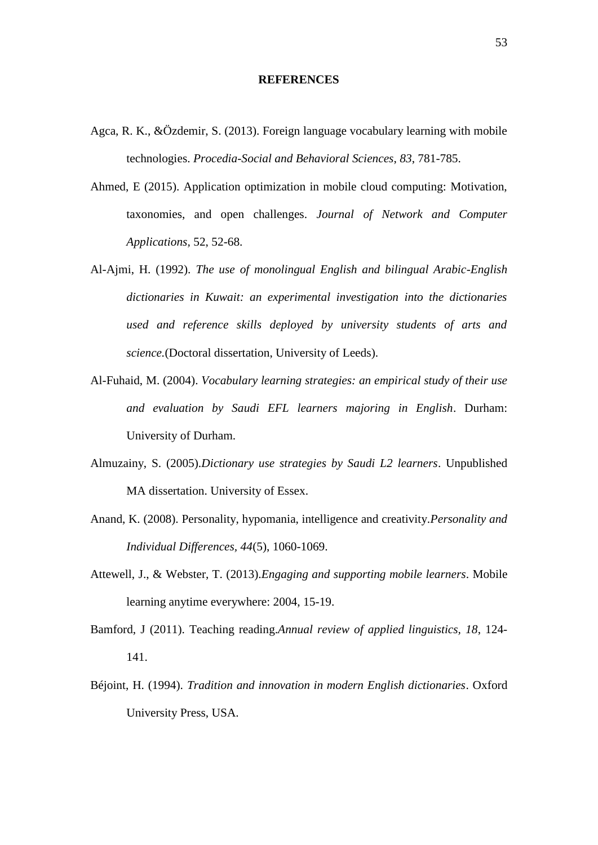#### **REFERENCES**

- Agca, R. K., &Özdemir, S. (2013). Foreign language vocabulary learning with mobile technologies. *Procedia-Social and Behavioral Sciences*, *83*, 781-785.
- Ahmed, E (2015). Application optimization in mobile cloud computing: Motivation, taxonomies, and open challenges. *Journal of Network and Computer Applications,* 52, 52-68.
- Al-Ajmi, H. (1992). *The use of monolingual English and bilingual Arabic-English dictionaries in Kuwait: an experimental investigation into the dictionaries used and reference skills deployed by university students of arts and science.*(Doctoral dissertation, University of Leeds).
- Al-Fuhaid, M. (2004). *Vocabulary learning strategies: an empirical study of their use and evaluation by Saudi EFL learners majoring in English*. Durham: University of Durham.
- Almuzainy, S. (2005).*Dictionary use strategies by Saudi L2 learners*. Unpublished MA dissertation. University of Essex.
- Anand, K. (2008). Personality, hypomania, intelligence and creativity.*Personality and Individual Differences, 44*(5), 1060-1069.
- Attewell, J., & Webster, T. (2013).*Engaging and supporting mobile learners*. Mobile learning anytime everywhere: 2004, 15-19.
- Bamford, J (2011). Teaching reading.*Annual review of applied linguistics, 18*, 124- 141.
- Béjoint, H. (1994). *Tradition and innovation in modern English dictionaries*. Oxford University Press, USA.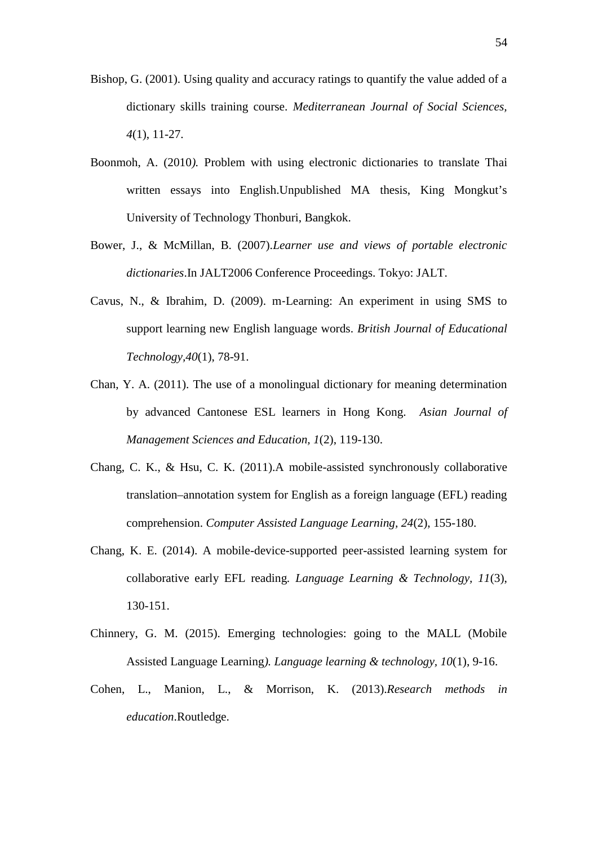- Bishop, G. (2001). Using quality and accuracy ratings to quantify the value added of a dictionary skills training course. *Mediterranean Journal of Social Sciences, 4*(1), 11-27.
- Boonmoh, A. (2010*).* Problem with using electronic dictionaries to translate Thai written essays into English.Unpublished MA thesis, King Mongkut's University of Technology Thonburi, Bangkok.
- Bower, J., & McMillan, B. (2007).*Learner use and views of portable electronic dictionaries*.In JALT2006 Conference Proceedings. Tokyo: JALT.
- Cavus, N., & Ibrahim, D. (2009). m‐Learning: An experiment in using SMS to support learning new English language words. *British Journal of Educational Technology,40*(1), 78-91.
- Chan, Y. A. (2011). The use of a monolingual dictionary for meaning determination by advanced Cantonese ESL learners in Hong Kong. *Asian Journal of Management Sciences and Education, 1*(2), 119-130.
- Chang, C. K., & Hsu, C. K. (2011).A mobile-assisted synchronously collaborative translation–annotation system for English as a foreign language (EFL) reading comprehension. *Computer Assisted Language Learning, 24*(2), 155-180.
- Chang, K. E. (2014). A mobile-device-supported peer-assisted learning system for collaborative early EFL reading*. Language Learning & Technology, 11*(3), 130-151.
- Chinnery, G. M. (2015). Emerging technologies: going to the MALL (Mobile Assisted Language Learning*). Language learning & technology, 10*(1), 9-16.
- Cohen, L., Manion, L., & Morrison, K. (2013).*Research methods in education*.Routledge.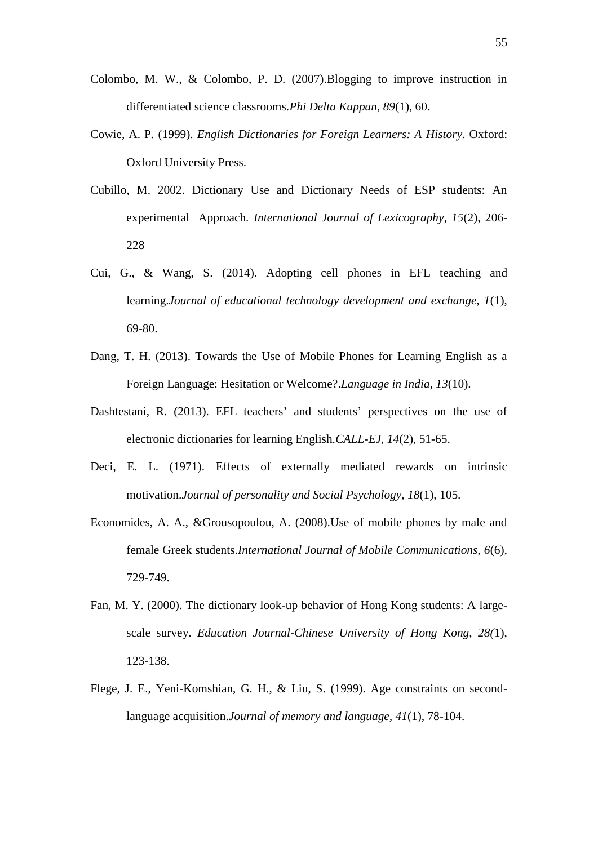- Colombo, M. W., & Colombo, P. D. (2007).Blogging to improve instruction in differentiated science classrooms.*Phi Delta Kappan, 89*(1), 60.
- Cowie, A. P. (1999). *English Dictionaries for Foreign Learners: A History*. Oxford: Oxford University Press.
- Cubillo, M. 2002. Dictionary Use and Dictionary Needs of ESP students: An experimental Approach. *International Journal of Lexicography, 15*(2), 206- 228
- Cui, G., & Wang, S. (2014). Adopting cell phones in EFL teaching and learning.*Journal of educational technology development and exchange, 1*(1), 69-80.
- Dang, T. H. (2013). Towards the Use of Mobile Phones for Learning English as a Foreign Language: Hesitation or Welcome?.*Language in India, 13*(10).
- Dashtestani, R. (2013). EFL teachers' and students' perspectives on the use of electronic dictionaries for learning English.*CALL-EJ, 14*(2), 51-65.
- Deci, E. L. (1971). Effects of externally mediated rewards on intrinsic motivation.*Journal of personality and Social Psychology, 18*(1), 105.
- Economides, A. A., &Grousopoulou, A. (2008).Use of mobile phones by male and female Greek students.*International Journal of Mobile Communications, 6*(6), 729-749.
- Fan, M. Y. (2000). The dictionary look-up behavior of Hong Kong students: A large scale survey. *Education Journal-Chinese University of Hong Kong, 28(*1), 123-138.
- Flege, J. E., Yeni-Komshian, G. H., & Liu, S. (1999). Age constraints on secondlanguage acquisition.*Journal of memory and language, 41*(1), 78-104.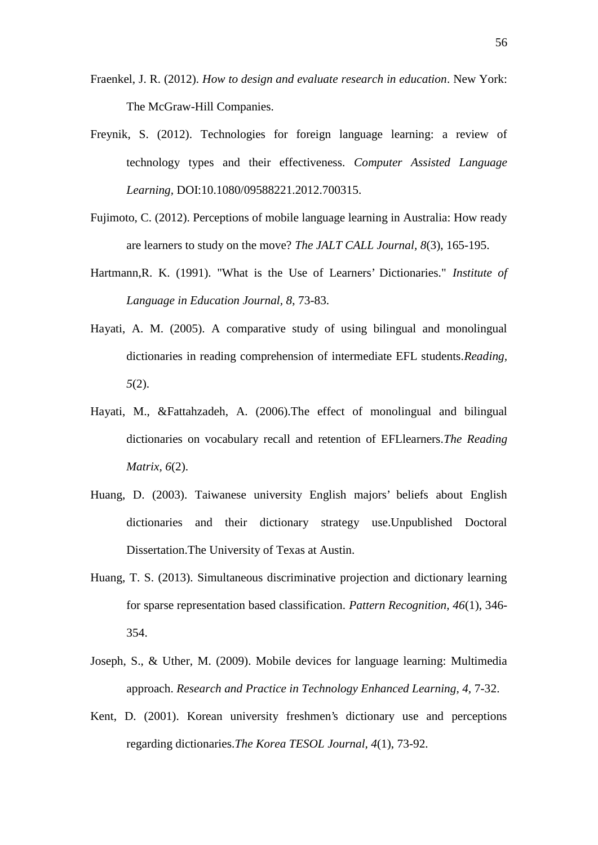- Fraenkel, J. R. (2012). *How to design and evaluate research in education*. New York: The McGraw-Hill Companies.
- Freynik, S. (2012). Technologies for foreign language learning: a review of technology types and their effectiveness. *Computer Assisted Language Learning,* DOI:10.1080/09588221.2012.700315.
- Fujimoto, C. (2012). Perceptions of mobile language learning in Australia: How ready are learners to study on the move? *The JALT CALL Journal, 8*(3), 165-195.
- Hartmann,R. K. (1991). "What is the Use of Learners' Dictionaries." *Institute of Language in Education Journal, 8*, 73-83.
- Hayati, A. M. (2005). A comparative study of using bilingual and monolingual dictionaries in reading comprehension of intermediate EFL students.*Reading, 5*(2).
- Hayati, M., &Fattahzadeh, A. (2006).The effect of monolingual and bilingual dictionaries on vocabulary recall and retention of EFLlearners.*The Reading Matrix, 6*(2).
- Huang, D. (2003). Taiwanese university English majors' beliefs about English dictionaries and their dictionary strategy use.Unpublished Doctoral Dissertation.The University of Texas at Austin.
- Huang, T. S. (2013). Simultaneous discriminative projection and dictionary learning for sparse representation based classification. *Pattern Recognition, 46*(1), 346- 354.
- Joseph, S., & Uther, M. (2009). Mobile devices for language learning: Multimedia approach. *Research and Practice in Technology Enhanced Learning, 4,* 7-32.
- Kent, D. (2001). Korean university freshmen's dictionary use and perceptions regarding dictionaries.*The Korea TESOL Journal, 4*(1), 73-92.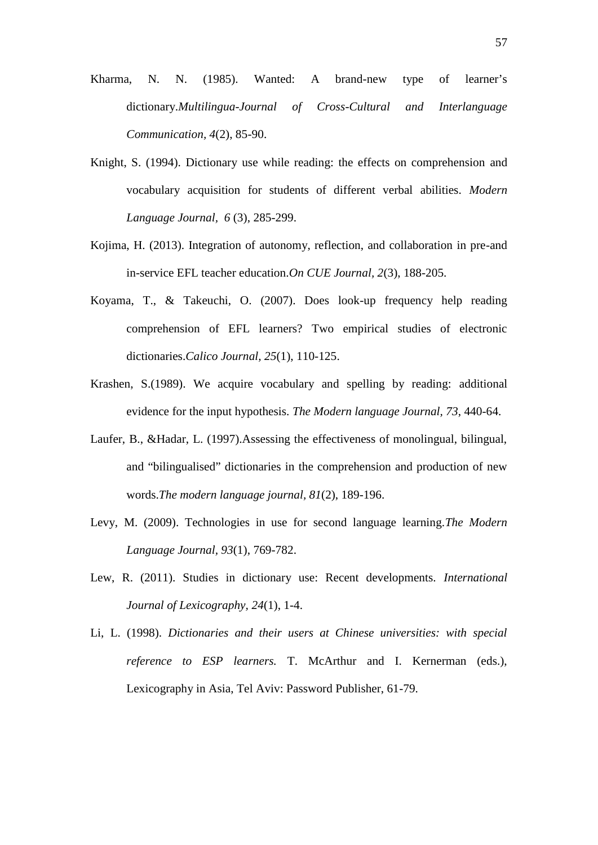- Kharma, N. N. (1985). Wanted: A brand-new type of learner's dictionary.*Multilingua-Journal of Cross-Cultural and Interlanguage Communication, 4*(2), 85-90.
- Knight, S. (1994). Dictionary use while reading: the effects on comprehension and vocabulary acquisition for students of different verbal abilities. *Modern Language Journal, 6* (3), 285-299.
- Kojima, H. (2013). Integration of autonomy, reflection, and collaboration in pre-and in-service EFL teacher education.*On CUE Journal, 2*(3), 188-205.
- Koyama, T., & Takeuchi, O. (2007). Does look-up frequency help reading comprehension of EFL learners? Two empirical studies of electronic dictionaries.*Calico Journal, 25*(1), 110-125.
- Krashen, S.(1989). We acquire vocabulary and spelling by reading: additional evidence for the input hypothesis. *The Modern language Journal, 73*, 440-64.
- Laufer, B., &Hadar, L. (1997).Assessing the effectiveness of monolingual, bilingual, and "bilingualised" dictionaries in the comprehension and production of new words.*The modern language journal, 81*(2), 189-196.
- Levy, M. (2009). Technologies in use for second language learning.*The Modern Language Journal, 93*(1), 769-782.
- Lew, R. (2011). Studies in dictionary use: Recent developments. *International Journal of Lexicography, 24*(1), 1-4.
- Li, L. (1998). *Dictionaries and their users at Chinese universities: with special reference to ESP learners.* T. McArthur and I. Kernerman (eds.), Lexicography in Asia, Tel Aviv: Password Publisher, 61-79.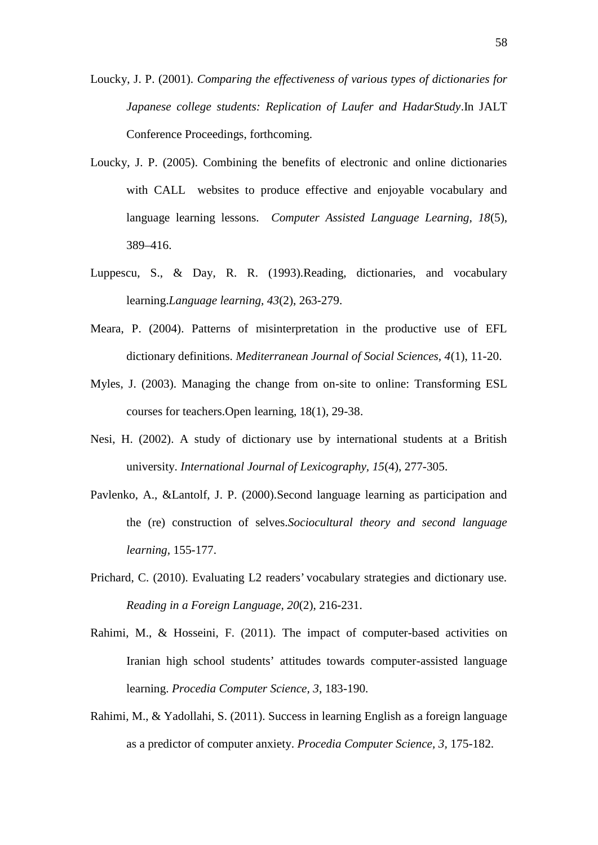Loucky, J. P. (2001). *Comparing the effectiveness of various types of dictionaries for Japanese college students: Replication of Laufer and HadarStudy*.In JALT Conference Proceedings, forthcoming.

- Loucky, J. P. (2005). Combining the benefits of electronic and online dictionaries with CALL websites to produce effective and enjoyable vocabulary and language learning lessons. *Computer Assisted Language Learning, 18*(5), 389–416.
- Luppescu, S., & Day, R. R. (1993).Reading, dictionaries, and vocabulary learning.*Language learning, 43*(2), 263-279.
- Meara, P. (2004). Patterns of misinterpretation in the productive use of EFL dictionary definitions. *Mediterranean Journal of Social Sciences, 4*(1), 11-20.
- Myles, J. (2003). Managing the change from on-site to online: Transforming ESL courses for teachers.Open learning, 18(1), 29-38.
- Nesi, H. (2002). A study of dictionary use by international students at a British university. *International Journal of Lexicography, 15*(4), 277-305.
- Pavlenko, A., &Lantolf, J. P. (2000).Second language learning as participation and the (re) construction of selves.*Sociocultural theory and second language learning,* 155-177.
- Prichard, C. (2010). Evaluating L2 readers' vocabulary strategies and dictionary use. *Reading in a Foreign Language, 20*(2), 216-231.
- Rahimi, M., & Hosseini, F. (2011). The impact of computer-based activities on Iranian high school students' attitudes towards computer-assisted language learning. *Procedia Computer Science, 3*, 183-190.
- Rahimi, M., & Yadollahi, S. (2011). Success in learning English as a foreign language as a predictor of computer anxiety. *Procedia Computer Science, 3,* 175-182.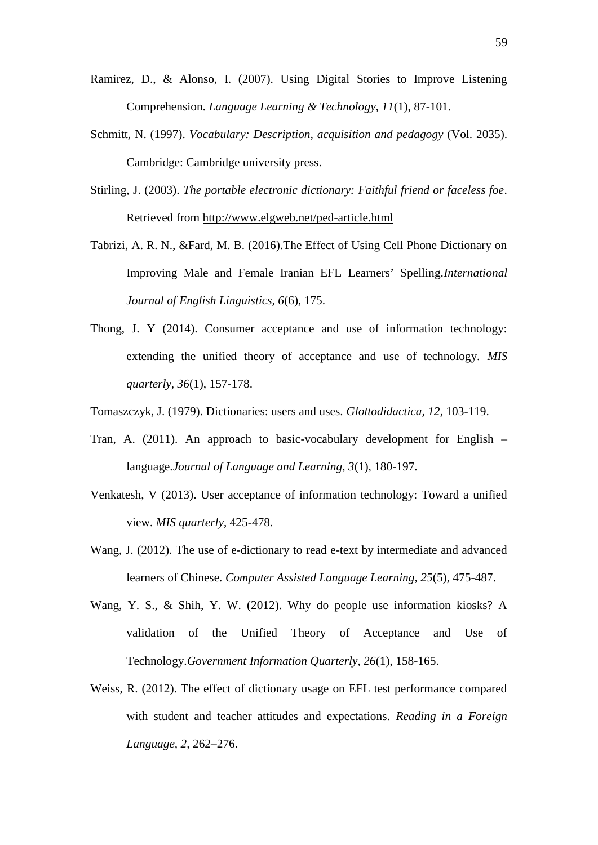- Ramirez, D., & Alonso, I. (2007). Using Digital Stories to Improve Listening Comprehension. *Language Learning & Technology, 11*(1), 87-101.
- Schmitt, N. (1997). *Vocabulary: Description, acquisition and pedagogy* (Vol. 2035). Cambridge: Cambridge university press.
- Stirling, J. (2003). *The portable electronic dictionary: Faithful friend or faceless foe*. Retrieved from http://www.elgweb.net/ped-article.html
- Tabrizi, A. R. N., &Fard, M. B. (2016).The Effect of Using Cell Phone Dictionary on Improving Male and Female Iranian EFL Learners' Spelling*.International Journal of English Linguistics, 6*(6), 175.
- Thong, J. Y (2014). Consumer acceptance and use of information technology: extending the unified theory of acceptance and use of technology. *MIS quarterly, 36*(1), 157-178.
- Tomaszczyk, J. (1979). Dictionaries: users and uses. *Glottodidactica, 12*, 103-119.
- Tran, A. (2011). An approach to basic-vocabulary development for English language.*Journal of Language and Learning, 3*(1), 180-197.
- Venkatesh, V (2013). User acceptance of information technology: Toward a unified view. *MIS quarterly*, 425-478.
- Wang, J. (2012). The use of e-dictionary to read e-text by intermediate and advanced learners of Chinese. *Computer Assisted Language Learning, 25*(5), 475-487.
- Wang, Y. S., & Shih, Y. W. (2012). Why do people use information kiosks? A validation of the Unified Theory of Acceptance and Use of Technology.*Government Information Quarterly, 26*(1), 158-165.
- Weiss, R. (2012). The effect of dictionary usage on EFL test performance compared with student and teacher attitudes and expectations. *Reading in a Foreign Language, 2,* 262–276.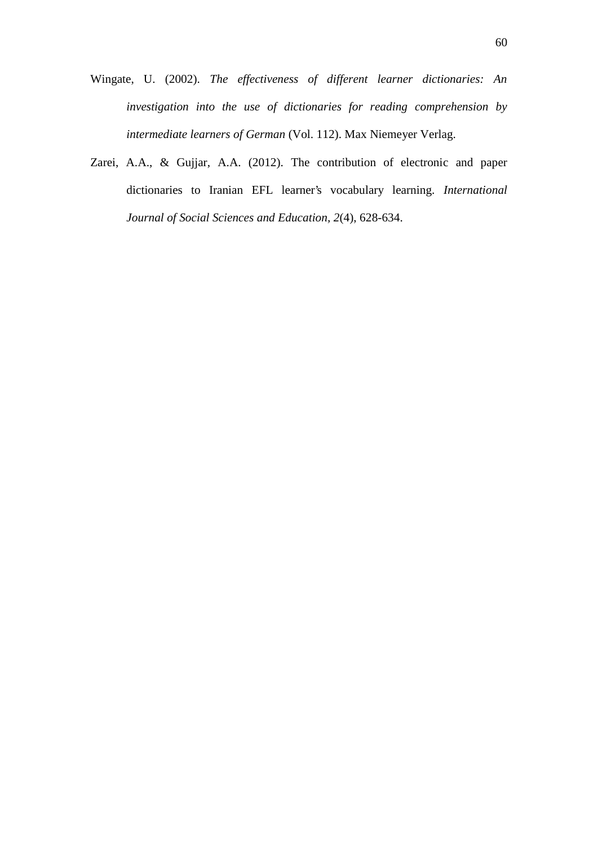- Wingate, U. (2002). *The effectiveness of different learner dictionaries: An investigation into the use of dictionaries for reading comprehension by intermediate learners of German* (Vol. 112). Max Niemeyer Verlag.
- Zarei, A.A., & Gujjar, A.A. (2012). The contribution of electronic and paper dictionaries to Iranian EFL learner's vocabulary learning. *International Journal of Social Sciences and Education, 2*(4), 628-634.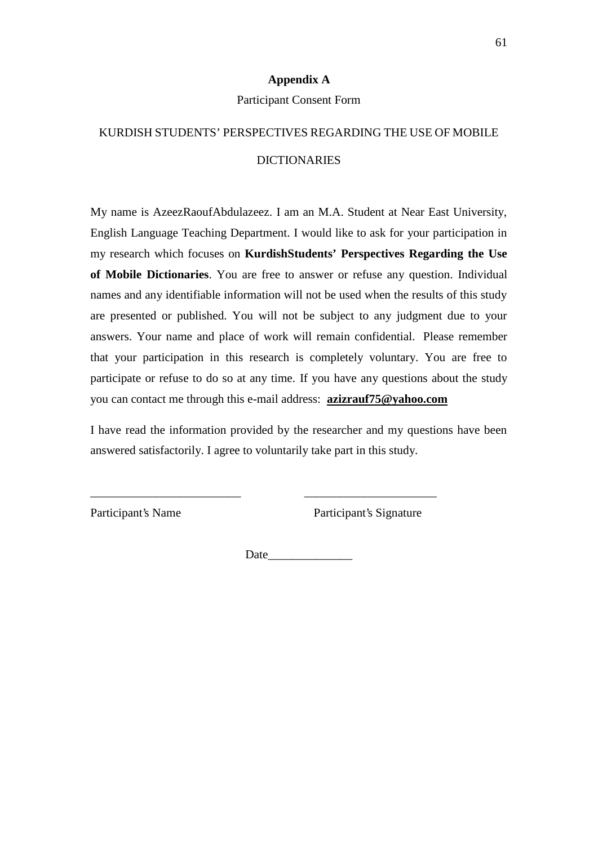## **Appendix A**

#### Participant Consent Form

# KURDISH STUDENTS' PERSPECTIVES REGARDING THE USE OF MOBILE DICTIONARIES

My name is AzeezRaoufAbdulazeez. I am an M.A. Student at Near East University, English Language Teaching Department. I would like to ask for your participation in my research which focuses on **KurdishStudents' Perspectives Regarding the Use of Mobile Dictionaries**. You are free to answer or refuse any question. Individual names and any identifiable information will not be used when the results of this study are presented or published. You will not be subject to any judgment due to your answers. Your name and place of work will remain confidential. Please remember that your participation in this research is completely voluntary. You are free to participate or refuse to do so at any time. If you have any questions about the study you can contact me through this e-mail address: **azizrauf75@yahoo.com**

I have read the information provided by the researcher and my questions have been answered satisfactorily. I agree to voluntarily take part in this study.

\_\_\_\_\_\_\_\_\_\_\_\_\_\_\_\_\_\_\_\_\_\_\_\_\_ \_\_\_\_\_\_\_\_\_\_\_\_\_\_\_\_\_\_\_\_\_\_

Participant's Name Participant's Signature

Date  $\Box$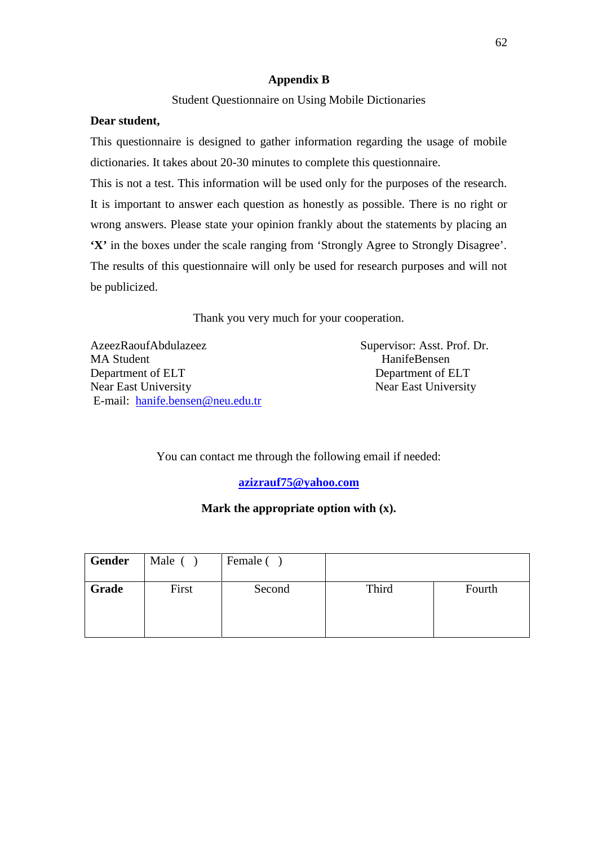## **Appendix B**

## Student Questionnaire on Using Mobile Dictionaries

## **Dear student,**

This questionnaire is designed to gather information regarding the usage of mobile dictionaries. It takes about 20-30 minutes to complete this questionnaire.

This is not a test. This information will be used only for the purposes of the research. It is important to answer each question as honestly as possible. There is no right or wrong answers. Please state your opinion frankly about the statements by placing an **'X'** in the boxes under the scale ranging from 'Strongly Agree to Strongly Disagree'. The results of this questionnaire will only be used for research purposes and will not be publicized.

Thank you very much for your cooperation.

AzeezRaoufAbdulazeez Supervisor: Asst. Prof. Dr. MA Student HanifeBensen Department of ELT Department of ELT Near East University Near East University E-mail: hanife.bensen@neu.edu.tr

You can contact me through the following email if needed:

**azizrauf75@yahoo.com**

## **Mark the appropriate option with (x).**

| Gender | Male ( | Female () |       |        |
|--------|--------|-----------|-------|--------|
| Grade  | First  | Second    | Third | Fourth |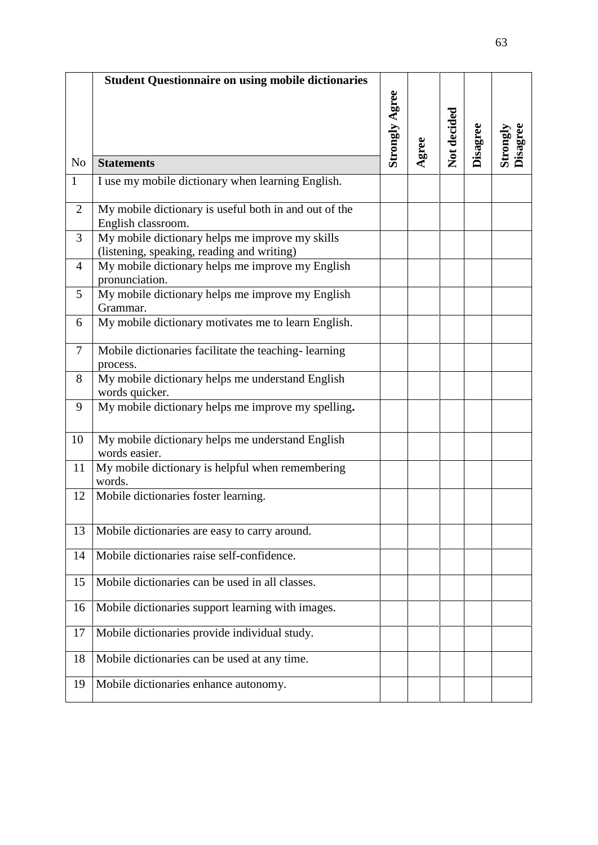|                | <b>Student Questionnaire on using mobile dictionaries</b>                                     |                       |       |             |          |                             |
|----------------|-----------------------------------------------------------------------------------------------|-----------------------|-------|-------------|----------|-----------------------------|
|                |                                                                                               | <b>Strongly Agree</b> | Agree | Not decided | Disagree | <b>Disagree</b><br>Strongly |
| N <sub>o</sub> | <b>Statements</b>                                                                             |                       |       |             |          |                             |
| $\mathbf{1}$   | I use my mobile dictionary when learning English.                                             |                       |       |             |          |                             |
| $\overline{2}$ | My mobile dictionary is useful both in and out of the<br>English classroom.                   |                       |       |             |          |                             |
| 3              | My mobile dictionary helps me improve my skills<br>(listening, speaking, reading and writing) |                       |       |             |          |                             |
| $\overline{4}$ | My mobile dictionary helps me improve my English<br>pronunciation.                            |                       |       |             |          |                             |
| 5              | My mobile dictionary helps me improve my English<br>Grammar.                                  |                       |       |             |          |                             |
| 6              | My mobile dictionary motivates me to learn English.                                           |                       |       |             |          |                             |
| 7              | Mobile dictionaries facilitate the teaching-learning<br>process.                              |                       |       |             |          |                             |
| 8              | My mobile dictionary helps me understand English<br>words quicker.                            |                       |       |             |          |                             |
| 9              | My mobile dictionary helps me improve my spelling.                                            |                       |       |             |          |                             |
| 10             | My mobile dictionary helps me understand English<br>words easier.                             |                       |       |             |          |                             |
| 11             | My mobile dictionary is helpful when remembering<br>words.                                    |                       |       |             |          |                             |
| 12             | Mobile dictionaries foster learning.                                                          |                       |       |             |          |                             |
| 13             | Mobile dictionaries are easy to carry around.                                                 |                       |       |             |          |                             |
| 14             | Mobile dictionaries raise self-confidence.                                                    |                       |       |             |          |                             |
| 15             | Mobile dictionaries can be used in all classes.                                               |                       |       |             |          |                             |
| 16             | Mobile dictionaries support learning with images.                                             |                       |       |             |          |                             |
| 17             | Mobile dictionaries provide individual study.                                                 |                       |       |             |          |                             |
| 18             | Mobile dictionaries can be used at any time.                                                  |                       |       |             |          |                             |
| 19             | Mobile dictionaries enhance autonomy.                                                         |                       |       |             |          |                             |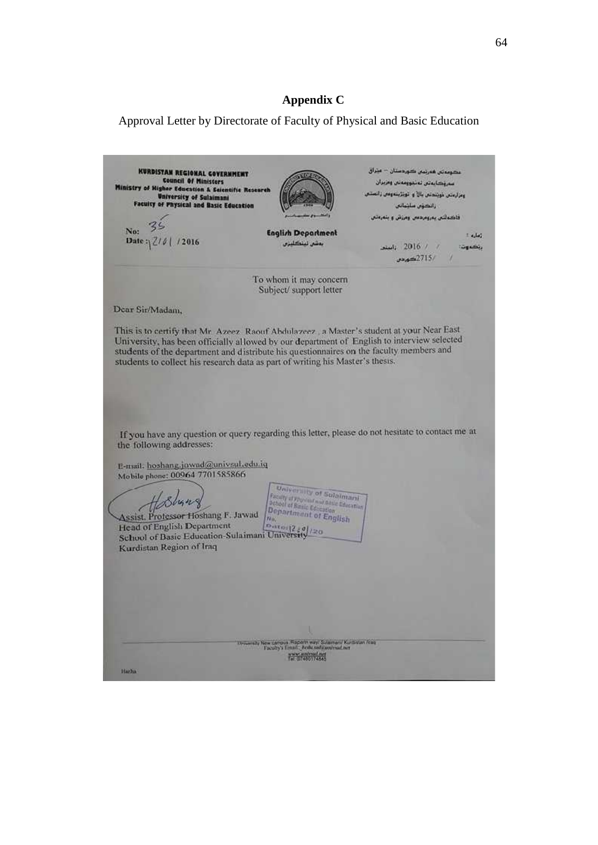### **Appendix C**

Approval Letter by Directorate of Faculty of Physical and Basic Education

KURDISTAN REGIONAL GOVERNMENT<br>Council Of Ministers<br>Ministry of Higher Education & Selentific Research بدومتان فعرتمان كورفعتان – عيتراق سرؤكا يوتس تونيووسونس ومزيران ومزارمتين كويتندتس بالآ والتويتزينه ومس زانم **University of Sulaimani**<br>Faculty of Physical and Basic Education زائڪؤن سائنانس فاضطلبن يمروم دس ومزش وابتعرفتي 35 No: **English Department**  $1 - 1.56$ Date:  $|Z/\delta|/2016$ بمشى تينكليزي audi  $2016$  /  $\sqrt{ }$ يتضرهن  $38.62715/$ To whom it may concern Subject/support letter Dear Sir/Madam, This is to certify that Mr. Azeez. Raouf Abdulazeez., a Master's student at your Near East University, has been officially allowed by our department of English to interview selected students of the department and distribute his questionnaires on the faculty members and students to collect his research data as part of writing his Master's thesis. If you have any question or query regarding this letter, please do not hesitate to contact me at the following addresses: E-mail. hoshang.jawad@univsul.edu.iq Mobile phone: 00064 7701585866 University of Sulaimari **Contract of Submarries (2006)**<br>
School of Range Constant Contract (2006)<br>
Department of English<br>
Ma<sub>t</sub> Hosbung Assist, Professor Hoshang F. Jawad Head of English Department<br>School of Basic Education-Sulaimani University Kurdistan Region of Iraq www.wabout.net Harlis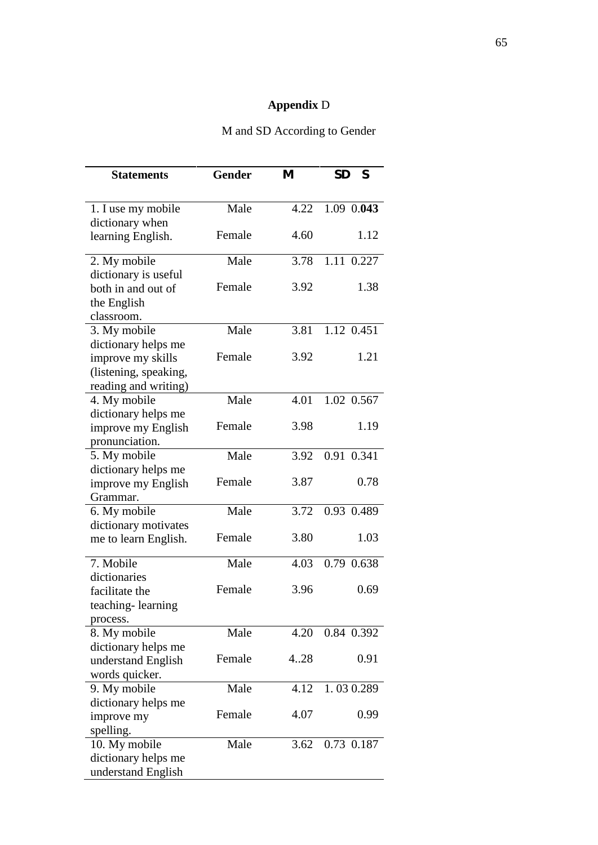# **Appendix** D

| M and SD According to Gender |  |
|------------------------------|--|
|------------------------------|--|

| <b>Statements</b>                                                  | <b>Gender</b> | M    | <b>SD</b><br>S |
|--------------------------------------------------------------------|---------------|------|----------------|
|                                                                    |               |      |                |
| 1. I use my mobile<br>dictionary when                              | Male          | 4.22 | 1.09 0.043     |
| learning English.                                                  | Female        | 4.60 | 1.12           |
| 2. My mobile                                                       | Male          | 3.78 | 1.11 0.227     |
| dictionary is useful<br>both in and out of<br>the English          | Female        | 3.92 | 1.38           |
| classroom.<br>3. My mobile                                         | Male          | 3.81 | 1.12 0.451     |
| dictionary helps me                                                |               |      |                |
| improve my skills<br>(listening, speaking,<br>reading and writing) | Female        | 3.92 | 1.21           |
| 4. My mobile                                                       | Male          | 4.01 | 1.02 0.567     |
| dictionary helps me<br>improve my English<br>pronunciation.        | Female        | 3.98 | 1.19           |
| 5. My mobile                                                       | Male          | 3.92 | 0.91 0.341     |
| dictionary helps me<br>improve my English<br>Grammar.              | Female        | 3.87 | 0.78           |
| 6. My mobile                                                       | Male          | 3.72 | 0.93 0.489     |
| dictionary motivates                                               |               |      |                |
| me to learn English.                                               | Female        | 3.80 | 1.03           |
| 7. Mobile                                                          | Male          | 4.03 | 0.79 0.638     |
| dictionaries<br>facilitate the<br>teaching-learning                | Female        | 3.96 | 0.69           |
| process.                                                           |               |      |                |
| 8. My mobile                                                       | Male          | 4.20 | 0.84 0.392     |
| dictionary helps me<br>understand English                          | Female        | 4.28 | 0.91           |
| words quicker.<br>9. My mobile                                     | Male          | 4.12 | 1.030.289      |
| dictionary helps me                                                |               |      |                |
| improve my<br>spelling.                                            | Female        | 4.07 | 0.99           |
| 10. My mobile<br>dictionary helps me<br>understand English         | Male          | 3.62 | 0.73 0.187     |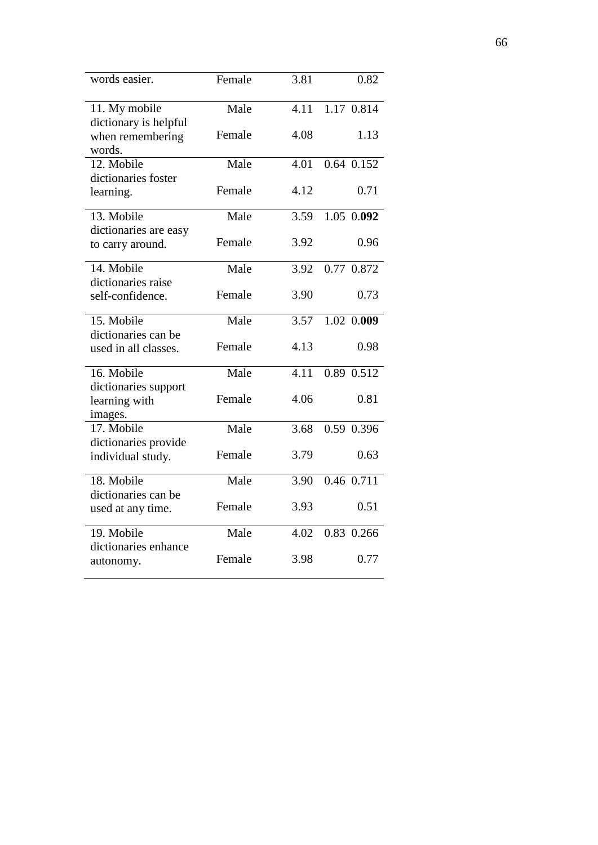| words easier.                                       | Female | 3.81 | 0.82       |
|-----------------------------------------------------|--------|------|------------|
| 11. My mobile                                       | Male   | 4.11 | 1.17 0.814 |
| dictionary is helpful<br>when remembering<br>words. | Female | 4.08 | 1.13       |
| 12. Mobile                                          | Male   | 4.01 | 0.64 0.152 |
| dictionaries foster                                 |        |      |            |
| learning.                                           | Female | 4.12 | 0.71       |
| 13. Mobile                                          | Male   | 3.59 | 1.05 0.092 |
| dictionaries are easy                               |        |      |            |
| to carry around.                                    | Female | 3.92 | 0.96       |
| 14. Mobile                                          | Male   | 3.92 | 0.77 0.872 |
| dictionaries raise                                  |        |      |            |
| self-confidence.                                    | Female | 3.90 | 0.73       |
| 15. Mobile                                          | Male   | 3.57 | 1.02 0.009 |
| dictionaries can be                                 |        |      |            |
| used in all classes.                                | Female | 4.13 | 0.98       |
| 16. Mobile                                          | Male   | 4.11 | 0.89 0.512 |
| dictionaries support                                |        |      |            |
| learning with                                       | Female | 4.06 | 0.81       |
| images.                                             |        |      |            |
| 17. Mobile                                          | Male   | 3.68 | 0.59 0.396 |
| dictionaries provide                                |        |      |            |
| individual study.                                   | Female | 3.79 | 0.63       |
| 18. Mobile                                          | Male   | 3.90 | 0.46 0.711 |
| dictionaries can be                                 |        |      |            |
| used at any time.                                   | Female | 3.93 | 0.51       |
| 19. Mobile                                          | Male   | 4.02 | 0.83 0.266 |
| dictionaries enhance                                |        |      |            |
| autonomy.                                           | Female | 3.98 | 0.77       |
|                                                     |        |      |            |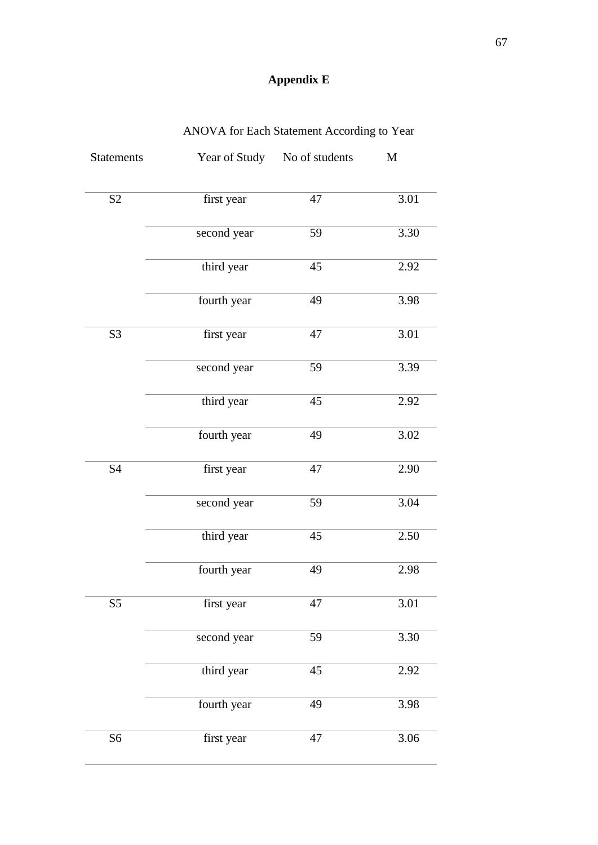# **Appendix E**

| <b>Statements</b> |             | Year of Study No of students | $\mathbf M$ |
|-------------------|-------------|------------------------------|-------------|
| S <sub>2</sub>    | first year  | 47                           | 3.01        |
|                   | second year | 59                           | 3.30        |
|                   | third year  | 45                           | 2.92        |
|                   | fourth year | 49                           | 3.98        |
| S <sub>3</sub>    | first year  | 47                           | 3.01        |
|                   | second year | 59                           | 3.39        |
|                   | third year  | 45                           | 2.92        |
|                   | fourth year | 49                           | 3.02        |
| <b>S4</b>         | first year  | 47                           | 2.90        |
|                   | second year | 59                           | 3.04        |
|                   | third year  | 45                           | 2.50        |
|                   | fourth year | 49                           | 2.98        |
| S <sub>5</sub>    | first year  | 47                           | 3.01        |
|                   | second year | 59                           | 3.30        |
|                   | third year  | 45                           | 2.92        |
|                   | fourth year | 49                           | 3.98        |
| S <sub>6</sub>    | first year  | 47                           | 3.06        |

# ANOVA for Each Statement According to Year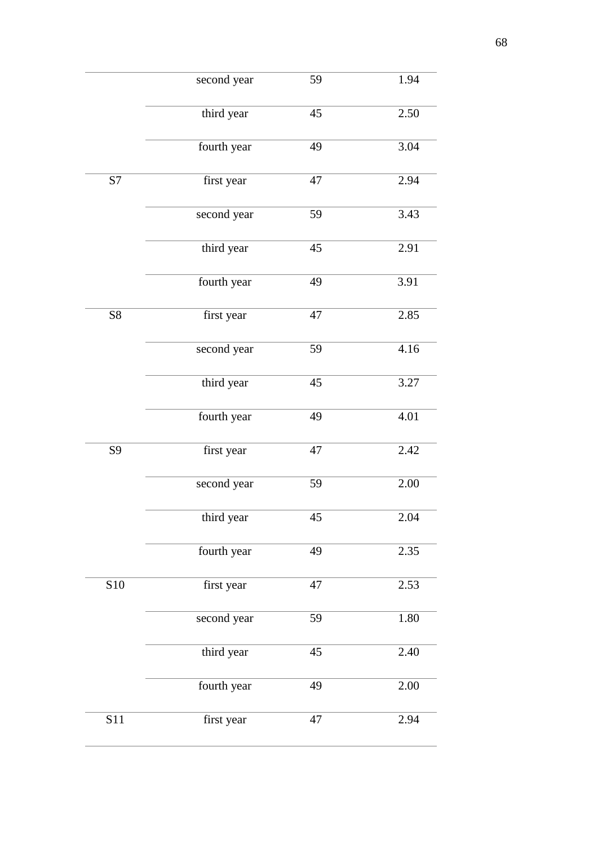|            | second year | 59 | 1.94     |
|------------|-------------|----|----------|
|            | third year  | 45 | 2.50     |
|            | fourth year | 49 | 3.04     |
| S7         | first year  | 47 | 2.94     |
|            | second year | 59 | 3.43     |
|            | third year  | 45 | 2.91     |
|            | fourth year | 49 | 3.91     |
| ${\rm S}8$ | first year  | 47 | 2.85     |
|            | second year | 59 | 4.16     |
|            | third year  | 45 | 3.27     |
|            | fourth year | 49 | 4.01     |
| S9         | first year  | 47 | 2.42     |
|            | second year | 59 | $2.00\,$ |
|            | third year  | 45 | 2.04     |
|            | fourth year | 49 | 2.35     |
| <b>S10</b> | first year  | 47 | 2.53     |
|            | second year | 59 | 1.80     |
|            | third year  | 45 | 2.40     |
|            | fourth year | 49 | $2.00\,$ |
| <b>S11</b> | first year  | 47 | 2.94     |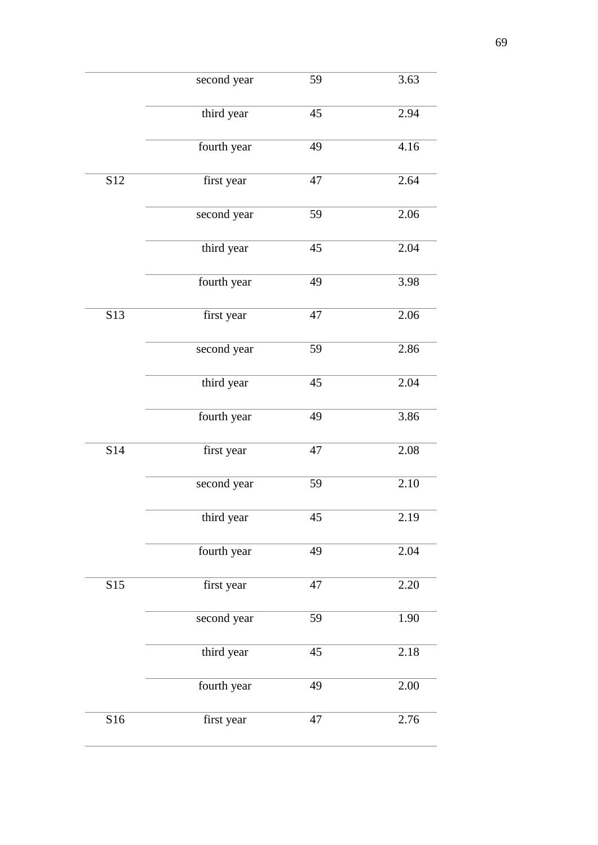|                  | second year | 59 | 3.63     |
|------------------|-------------|----|----------|
|                  | third year  | 45 | 2.94     |
|                  | fourth year | 49 | 4.16     |
| S12              | first year  | 47 | 2.64     |
|                  | second year | 59 | 2.06     |
|                  | third year  | 45 | 2.04     |
|                  | fourth year | 49 | 3.98     |
| S13              | first year  | 47 | 2.06     |
|                  | second year | 59 | 2.86     |
|                  | third year  | 45 | 2.04     |
|                  | fourth year | 49 | 3.86     |
| S14              | first year  | 47 | 2.08     |
|                  | second year | 59 | 2.10     |
|                  | third year  | 45 | 2.19     |
|                  | fourth year | 49 | 2.04     |
| $\overline{S15}$ | first year  | 47 | 2.20     |
|                  | second year | 59 | 1.90     |
|                  | third year  | 45 | 2.18     |
|                  | fourth year | 49 | $2.00\,$ |
| S16              | first year  | 47 | 2.76     |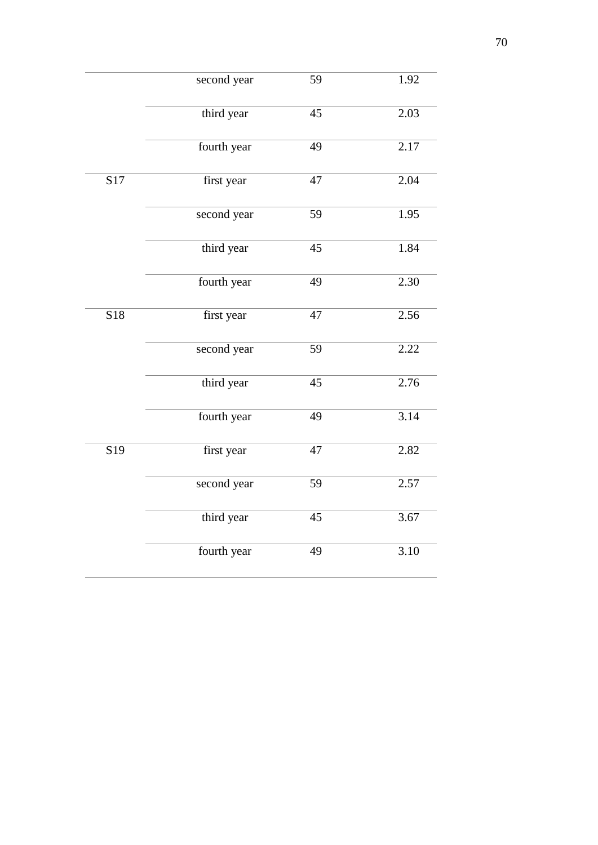|                 | second year | 59 | 1.92 |
|-----------------|-------------|----|------|
|                 | third year  | 45 | 2.03 |
|                 | fourth year | 49 | 2.17 |
| S17             | first year  | 47 | 2.04 |
|                 | second year | 59 | 1.95 |
|                 | third year  | 45 | 1.84 |
|                 | fourth year | 49 | 2.30 |
| S18             | first year  | 47 | 2.56 |
|                 | second year | 59 | 2.22 |
|                 | third year  | 45 | 2.76 |
|                 | fourth year | 49 | 3.14 |
| S <sub>19</sub> | first year  | 47 | 2.82 |
|                 | second year | 59 | 2.57 |
|                 | third year  | 45 | 3.67 |
|                 | fourth year | 49 | 3.10 |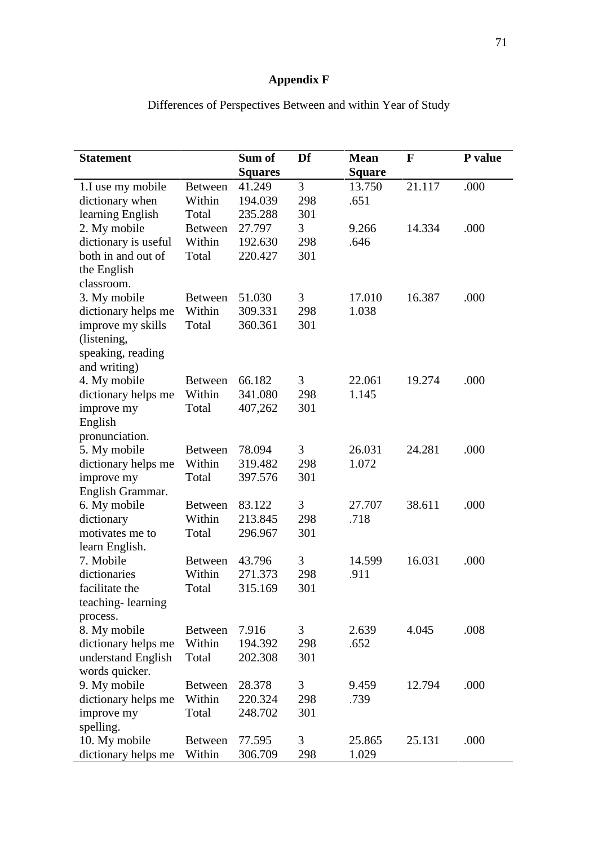# **Appendix F**

| <b>Statement</b>                  |                | Sum of         | Df             | <b>Mean</b>   | $\mathbf{F}$ | P value |
|-----------------------------------|----------------|----------------|----------------|---------------|--------------|---------|
|                                   |                | <b>Squares</b> |                | <b>Square</b> |              |         |
| 1.I use my mobile                 | <b>Between</b> | 41.249         | $\overline{3}$ | 13.750        | 21.117       | .000    |
| dictionary when                   | Within         | 194.039        | 298            | .651          |              |         |
| learning English                  | Total          | 235.288        | 301            |               |              |         |
| 2. My mobile                      | <b>Between</b> | 27.797         | 3              | 9.266         | 14.334       | .000    |
| dictionary is useful              | Within         | 192.630        | 298            | .646          |              |         |
| both in and out of<br>the English | Total          | 220.427        | 301            |               |              |         |
| classroom.                        |                |                |                |               |              |         |
| 3. My mobile                      | <b>Between</b> | 51.030         | 3              | 17.010        | 16.387       | .000    |
| dictionary helps me               | Within         | 309.331        | 298            | 1.038         |              |         |
| improve my skills                 | Total          | 360.361        | 301            |               |              |         |
| (listening,                       |                |                |                |               |              |         |
| speaking, reading                 |                |                |                |               |              |         |
| and writing)                      |                |                |                |               |              |         |
| 4. My mobile                      | <b>Between</b> | 66.182         | 3              | 22.061        | 19.274       | .000    |
| dictionary helps me               | Within         | 341.080        | 298            | 1.145         |              |         |
| improve my                        | Total          | 407,262        | 301            |               |              |         |
| English                           |                |                |                |               |              |         |
| pronunciation.                    |                |                |                |               |              |         |
| 5. My mobile                      | <b>Between</b> | 78.094         | 3              | 26.031        | 24.281       | .000    |
| dictionary helps me               | Within         | 319.482        | 298            | 1.072         |              |         |
| improve my                        | Total          | 397.576        | 301            |               |              |         |
| English Grammar.                  |                |                |                |               |              |         |
| 6. My mobile                      | <b>Between</b> | 83.122         | 3              | 27.707        | 38.611       | .000    |
| dictionary                        | Within         | 213.845        | 298            | .718          |              |         |
| motivates me to                   | Total          | 296.967        | 301            |               |              |         |
| learn English.                    |                |                |                |               |              |         |
| 7. Mobile                         | <b>Between</b> | 43.796         | 3              | 14.599        | 16.031       | .000    |
| dictionaries                      | Within         | 271.373        | 298            | .911          |              |         |
| facilitate the                    | Total          | 315.169        | 301            |               |              |         |
| teaching-learning                 |                |                |                |               |              |         |
|                                   |                |                |                |               |              |         |
| process.                          |                |                |                |               |              |         |
| 8. My mobile                      | <b>Between</b> | 7.916          | 3              | 2.639         | 4.045        | .008    |
| dictionary helps me               | Within         | 194.392        | 298            | .652          |              |         |
| understand English                | Total          | 202.308        | 301            |               |              |         |
| words quicker.                    |                |                |                |               |              |         |
| 9. My mobile                      | <b>Between</b> | 28.378         | 3              | 9.459         | 12.794       | .000    |
| dictionary helps me               | Within         | 220.324        | 298            | .739          |              |         |
| improve my                        | Total          | 248.702        | 301            |               |              |         |
| spelling.                         |                |                |                |               |              |         |
| 10. My mobile                     | Between        | 77.595         | 3              | 25.865        | 25.131       | .000    |
| dictionary helps me               | Within         | 306.709        | 298            | 1.029         |              |         |

Differences of Perspectives Between and within Year of Study